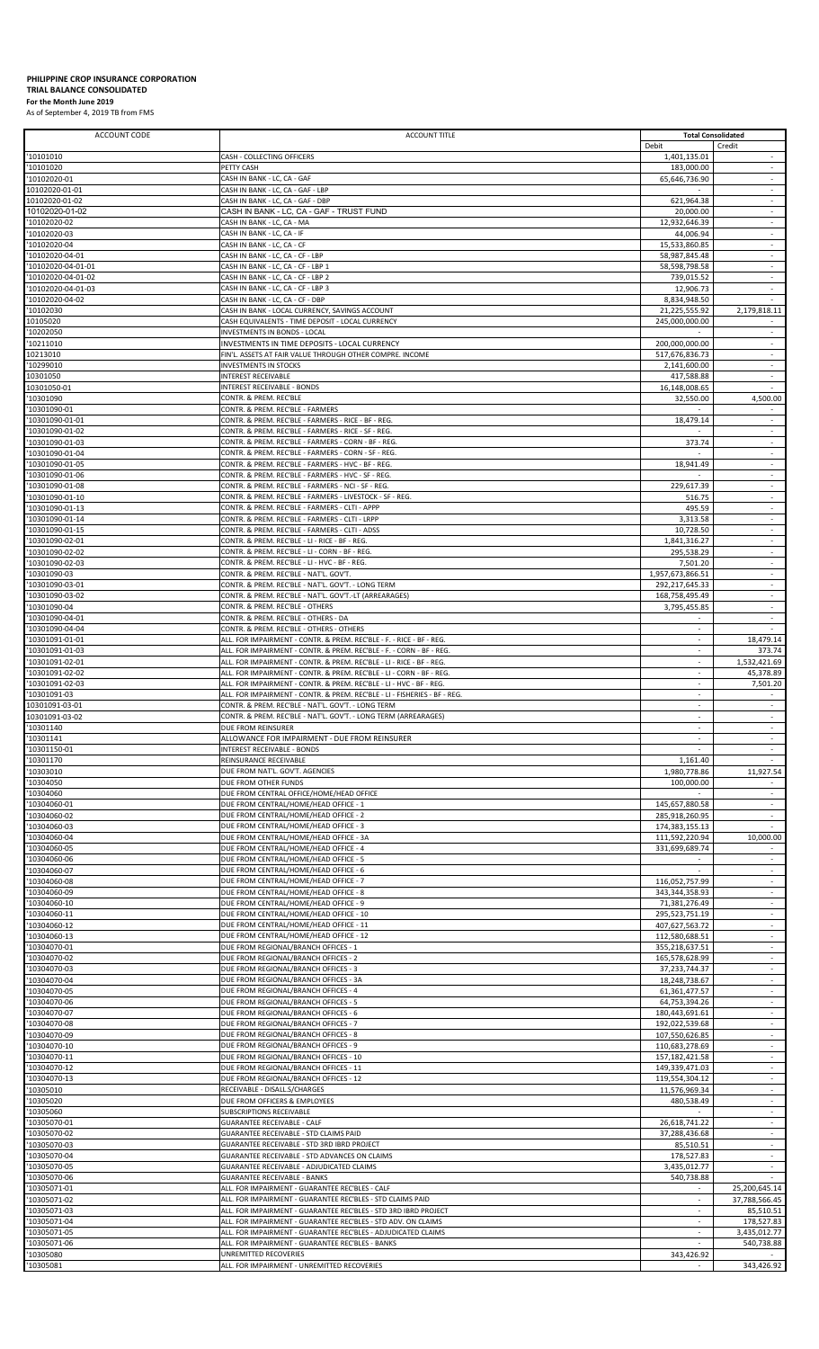## **PHILIPPINE CROP INSURANCE CORPORATION TRIAL BALANCE CONSOLIDATED**

**For the Month June 2019** As of September 4, 2019 TB from FMS

| ACCOUNT CODE                             | ACCOUNT TITLE                                                                                                                               |                                  | <b>Total Consolidated</b>                               |
|------------------------------------------|---------------------------------------------------------------------------------------------------------------------------------------------|----------------------------------|---------------------------------------------------------|
| '10101010                                | CASH - COLLECTING OFFICERS                                                                                                                  | Debit<br>1,401,135.01            | Credit<br>$\sim$                                        |
| '10101020                                | PETTY CASH                                                                                                                                  | 183,000.00                       | $\sim$                                                  |
| '10102020-01<br>10102020-01-01           | CASH IN BANK - LC, CA - GAF<br>CASH IN BANK - LC, CA - GAF - LBP                                                                            | 65,646,736.90                    | $\mathcal{L}$                                           |
| 10102020-01-02                           | CASH IN BANK - LC, CA - GAF - DBP                                                                                                           | 621,964.38                       | $\sim$                                                  |
| 10102020-01-02                           | CASH IN BANK - LC, CA - GAF - TRUST FUND                                                                                                    | 20,000.00                        | $\sim$                                                  |
| '10102020-02<br>'10102020-03             | CASH IN BANK - LC, CA - MA<br>CASH IN BANK - LC, CA - IF                                                                                    | 12,932,646.39<br>44,006.94       | $\sim$                                                  |
| '10102020-04                             | CASH IN BANK - LC, CA - CF                                                                                                                  | 15,533,860.85                    | $\overline{\phantom{a}}$                                |
| '10102020-04-01                          | CASH IN BANK - LC, CA - CF - LBP                                                                                                            | 58,987,845.48                    | $\overline{\phantom{a}}$                                |
| '10102020-04-01-01<br>'10102020-04-01-02 | CASH IN BANK - LC, CA - CF - LBP 1<br>CASH IN BANK - LC, CA - CF - LBP 2                                                                    | 58,598,798.58<br>739,015.52      | $\omega$<br>$\sim$                                      |
| '10102020-04-01-03                       | CASH IN BANK - LC, CA - CF - LBP 3                                                                                                          | 12,906.73                        | $\sim$                                                  |
| '10102020-04-02<br>'10102030             | CASH IN BANK - LC, CA - CF - DBP<br>CASH IN BANK - LOCAL CURRENCY, SAVINGS ACCOUNT                                                          | 8,834,948.50<br>21,225,555.92    | 2,179,818.11                                            |
| 10105020                                 | CASH EQUIVALENTS - TIME DEPOSIT - LOCAL CURRENCY                                                                                            | 245,000,000.00                   |                                                         |
| '10202050                                | INVESTMENTS IN BONDS - LOCAL                                                                                                                |                                  | $\sim$                                                  |
| '10211010<br>10213010                    | INVESTMENTS IN TIME DEPOSITS - LOCAL CURRENCY<br>FIN'L. ASSETS AT FAIR VALUE THROUGH OTHER COMPRE. INCOME                                   | 200,000,000.00<br>517,676,836.73 | $\sim$                                                  |
| '10299010                                | <b>INVESTMENTS IN STOCKS</b>                                                                                                                | 2,141,600.00                     | $\overline{\phantom{a}}$                                |
| 10301050                                 | INTEREST RECEIVABLE                                                                                                                         | 417,588.88                       | $\sim$                                                  |
| 10301050-01<br>'10301090                 | INTEREST RECEIVABLE - BONDS<br>CONTR. & PREM. REC'BLE                                                                                       | 16,148,008.65<br>32,550.00       | 4,500.00                                                |
| '10301090-01                             | CONTR. & PREM. REC'BLE - FARMERS                                                                                                            |                                  |                                                         |
| '10301090-01-01<br>'10301090-01-02       | CONTR. & PREM. REC'BLE - FARMERS - RICE - BF - REG.                                                                                         | 18,479.14                        | $\overline{\phantom{a}}$<br>÷                           |
| '10301090-01-03                          | CONTR. & PREM. REC'BLE - FARMERS - RICE - SF - REG.<br>CONTR. & PREM. REC'BLE - FARMERS - CORN - BF - REG.                                  | 373.74                           | $\omega$                                                |
| '10301090-01-04                          | CONTR. & PREM. REC'BLE - FARMERS - CORN - SF - REG.                                                                                         | $\sim$                           | $\sim$                                                  |
| '10301090-01-05<br>'10301090-01-06       | CONTR. & PREM. REC'BLE - FARMERS - HVC - BF - REG.<br>CONTR. & PREM. REC'BLE - FARMERS - HVC - SF - REG.                                    | 18,941.49                        | ÷<br>$\omega$                                           |
| '10301090-01-08                          | CONTR. & PREM. REC'BLE - FARMERS - NCI - SF - REG.                                                                                          | 229,617.39                       | $\sim$                                                  |
| '10301090-01-10                          | CONTR. & PREM. REC'BLE - FARMERS - LIVESTOCK - SF - REG.                                                                                    | 516.75                           | $\sim$                                                  |
| '10301090-01-13<br>'10301090-01-14       | CONTR. & PREM. REC'BLE - FARMERS - CLTI - APPP<br>CONTR. & PREM. REC'BLE - FARMERS - CLTI - LRPP                                            | 495.59<br>3,313.58               | $\blacksquare$<br>$\mathcal{L}$                         |
| '10301090-01-15                          | CONTR. & PREM. REC'BLE - FARMERS - CLTI - ADSS                                                                                              | 10,728.50                        | $\overline{\phantom{a}}$                                |
| '10301090-02-01                          | CONTR. & PREM. REC'BLE - LI - RICE - BF - REG.                                                                                              | 1,841,316.27                     | $\sim$                                                  |
| '10301090-02-02<br>'10301090-02-03       | CONTR. & PREM. REC'BLE - LI - CORN - BF - REG.<br>CONTR. & PREM. REC'BLE - LI - HVC - BF - REG.                                             | 295,538.29<br>7,501.20           | $\omega$                                                |
| '10301090-03                             | CONTR. & PREM. REC'BLE - NAT'L. GOV'T.                                                                                                      | 1,957,673,866.51                 | $\overline{\phantom{a}}$                                |
| '10301090-03-01<br>'10301090-03-02       | CONTR. & PREM. REC'BLE - NAT'L. GOV'T. - LONG TERM<br>CONTR. & PREM. REC'BLE - NAT'L. GOV'T.-LT (ARREARAGES)                                | 292,217,645.33<br>168,758,495.49 | ÷<br>÷                                                  |
| '10301090-04                             | CONTR. & PREM. REC'BLE - OTHERS                                                                                                             | 3,795,455.85                     | $\mathcal{L}$                                           |
| '10301090-04-01                          | CONTR. & PREM. REC'BLE - OTHERS - DA                                                                                                        |                                  | $\sim$                                                  |
| '10301090-04-04<br>'10301091-01-01       | CONTR. & PREM. REC'BLE - OTHERS - OTHERS<br>ALL. FOR IMPAIRMENT - CONTR. & PREM. REC'BLE - F. - RICE - BF - REG.                            |                                  | 18,479.14                                               |
| '10301091-01-03                          | ALL. FOR IMPAIRMENT - CONTR. & PREM. REC'BLE - F. - CORN - BF - REG.                                                                        | ÷.                               | 373.74                                                  |
| '10301091-02-01                          | ALL. FOR IMPAIRMENT - CONTR. & PREM. REC'BLE - LI - RICE - BF - REG.                                                                        | $\overline{\phantom{a}}$         | 1,532,421.69                                            |
| '10301091-02-02<br>'10301091-02-03       | ALL. FOR IMPAIRMENT - CONTR. & PREM. REC'BLE - LI - CORN - BF - REG.<br>ALL. FOR IMPAIRMENT - CONTR. & PREM. REC'BLE - LI - HVC - BF - REG. | ÷.                               | 45,378.89<br>7,501.20                                   |
| '10301091-03                             | ALL. FOR IMPAIRMENT - CONTR. & PREM. REC'BLE - LI - FISHERIES - BF - REG.                                                                   | $\overline{\phantom{a}}$         |                                                         |
| 10301091-03-01<br>10301091-03-02         | CONTR. & PREM. REC'BLE - NAT'L. GOV'T. - LONG TERM<br>CONTR. & PREM. REC'BLE - NAT'L. GOV'T. - LONG TERM (ARREARAGES)                       | $\overline{\phantom{a}}$         | $\sim$                                                  |
| 10301140                                 | DUE FROM REINSURER                                                                                                                          |                                  |                                                         |
| '10301141                                | ALLOWANCE FOR IMPAIRMENT - DUE FROM REINSURER                                                                                               |                                  |                                                         |
| '10301150-01<br>'10301170                | INTEREST RECEIVABLE - BONDS<br>REINSURANCE RECEIVABLE                                                                                       | 1,161.40                         | $\mathcal{L}_{\mathcal{A}}$                             |
| '10303010                                | DUE FROM NAT'L. GOV'T. AGENCIES                                                                                                             | 1,980,778.86                     | 11,927.54                                               |
| '10304050<br>'10304060                   | DUE FROM OTHER FUNDS<br>DUE FROM CENTRAL OFFICE/HOME/HEAD OFFICE                                                                            | 100,000.00                       | $\sim$                                                  |
| '10304060-01                             | DUE FROM CENTRAL/HOME/HEAD OFFICE - 1                                                                                                       | 145,657,880.58                   | $\omega$                                                |
| '10304060-02                             | DUE FROM CENTRAL/HOME/HEAD OFFICE - 2                                                                                                       | 285,918,260.95                   | $\sim$                                                  |
| '10304060-03<br>'10304060-04             | DUE FROM CENTRAL/HOME/HEAD OFFICE - 3<br>DUE FROM CENTRAL/HOME/HEAD OFFICE - 3A                                                             | 174,383,155.13<br>111,592,220.94 | 10,000.00                                               |
| '10304060-05                             | DUE FROM CENTRAL/HOME/HEAD OFFICE - 4                                                                                                       | 331,699,689.74                   |                                                         |
| '10304060-06                             | DUE FROM CENTRAL/HOME/HEAD OFFICE - 5                                                                                                       |                                  |                                                         |
| '10304060-07<br>'10304060-08             | DUE FROM CENTRAL/HOME/HEAD OFFICE - 6<br>DUE FROM CENTRAL/HOME/HEAD OFFICE - 7                                                              | 116,052,757.99                   | $\sim$                                                  |
| '10304060-09                             | DUE FROM CENTRAL/HOME/HEAD OFFICE - 8                                                                                                       | 343, 344, 358. 93                | ÷                                                       |
| '10304060-10                             | DUE FROM CENTRAL/HOME/HEAD OFFICE - 9                                                                                                       | 71,381,276.49                    | $\overline{\phantom{a}}$<br>$\mathcal{L}_{\mathcal{A}}$ |
| '10304060-11<br>'10304060-12             | DUE FROM CENTRAL/HOME/HEAD OFFICE - 10<br>DUE FROM CENTRAL/HOME/HEAD OFFICE - 11                                                            | 295,523,751.19<br>407,627,563.72 | ÷.                                                      |
| '10304060-13                             | DUE FROM CENTRAL/HOME/HEAD OFFICE - 12                                                                                                      | 112,580,688.51                   | $\sim$                                                  |
| '10304070-01<br>'10304070-02             | DUE FROM REGIONAL/BRANCH OFFICES - 1<br>DUE FROM REGIONAL/BRANCH OFFICES - 2                                                                | 355,218,637.51<br>165,578,628.99 | $\overline{\phantom{a}}$<br>$\overline{\phantom{a}}$    |
| '10304070-03                             | DUE FROM REGIONAL/BRANCH OFFICES - 3                                                                                                        | 37,233,744.37                    | $\omega$                                                |
| '10304070-04                             | DUE FROM REGIONAL/BRANCH OFFICES - 3A                                                                                                       | 18,248,738.67                    | $\omega$                                                |
| '10304070-05<br>'10304070-06             | DUE FROM REGIONAL/BRANCH OFFICES - 4<br>DUE FROM REGIONAL/BRANCH OFFICES - 5                                                                | 61,361,477.57<br>64,753,394.26   | $\sim$<br>$\overline{\phantom{a}}$                      |
| '10304070-07                             | DUE FROM REGIONAL/BRANCH OFFICES - 6                                                                                                        | 180,443,691.61                   | $\omega$                                                |
| '10304070-08<br>'10304070-09             | DUE FROM REGIONAL/BRANCH OFFICES - 7<br>DUE FROM REGIONAL/BRANCH OFFICES - 8                                                                | 192,022,539.68<br>107,550,626.85 | $\overline{\phantom{a}}$<br>$\sim$                      |
| '10304070-10                             | DUE FROM REGIONAL/BRANCH OFFICES - 9                                                                                                        | 110,683,278.69                   |                                                         |
| '10304070-11                             | DUE FROM REGIONAL/BRANCH OFFICES - 10                                                                                                       | 157, 182, 421.58                 | $\mathcal{L}$                                           |
| '10304070-12<br>'10304070-13             | DUE FROM REGIONAL/BRANCH OFFICES - 11<br>DUE FROM REGIONAL/BRANCH OFFICES - 12                                                              | 149,339,471.03<br>119,554,304.12 | $\overline{\phantom{a}}$<br>$\sim$                      |
| '10305010                                | RECEIVABLE - DISALL.S/CHARGES                                                                                                               | 11,576,969.34                    | $\blacksquare$                                          |
| '10305020                                | DUE FROM OFFICERS & EMPLOYEES                                                                                                               | 480,538.49                       | $\sim$                                                  |
| '10305060<br>'10305070-01                | SUBSCRIPTIONS RECEIVABLE<br><b>GUARANTEE RECEIVABLE - CALF</b>                                                                              | 26,618,741.22                    | $\overline{\phantom{a}}$<br>$\overline{\phantom{a}}$    |
| '10305070-02                             | GUARANTEE RECEIVABLE - STD CLAIMS PAID                                                                                                      | 37,288,436.68                    | $\omega$                                                |
| '10305070-03                             | GUARANTEE RECEIVABLE - STD 3RD IBRD PROJECT<br>GUARANTEE RECEIVABLE - STD ADVANCES ON CLAIMS                                                | 85,510.51<br>178,527.83          | $\sim$<br>$\overline{\phantom{a}}$                      |
| '10305070-04<br>'10305070-05             | <b>GUARANTEE RECEIVABLE - ADJUDICATED CLAIMS</b>                                                                                            | 3.435.012.77                     | $\sim$                                                  |
| '10305070-06                             | <b>GUARANTEE RECEIVABLE - BANKS</b>                                                                                                         | 540,738.88                       |                                                         |
| '10305071-01<br>'10305071-02             | ALL. FOR IMPAIRMENT - GUARANTEE REC'BLES - CALF<br>ALL. FOR IMPAIRMENT - GUARANTEE REC'BLES - STD CLAIMS PAID                               | $\sim$                           | 25,200,645.14<br>37,788,566.45                          |
| '10305071-03                             | ALL. FOR IMPAIRMENT - GUARANTEE REC'BLES - STD 3RD IBRD PROJECT                                                                             |                                  | 85,510.51                                               |
| '10305071-04                             | ALL. FOR IMPAIRMENT - GUARANTEE REC'BLES - STD ADV. ON CLAIMS                                                                               | ×.                               | 178,527.83                                              |
| '10305071-05<br>'10305071-06             | ALL. FOR IMPAIRMENT - GUARANTEE REC'BLES - ADJUDICATED CLAIMS<br>ALL. FOR IMPAIRMENT - GUARANTEE REC'BLES - BANKS                           | $\overline{\phantom{a}}$         | 3,435,012.77<br>540,738.88                              |
| '10305080                                | UNREMITTED RECOVERIES                                                                                                                       | 343,426.92                       |                                                         |
| '10305081                                | ALL. FOR IMPAIRMENT - UNREMITTED RECOVERIES                                                                                                 |                                  | 343.426.92                                              |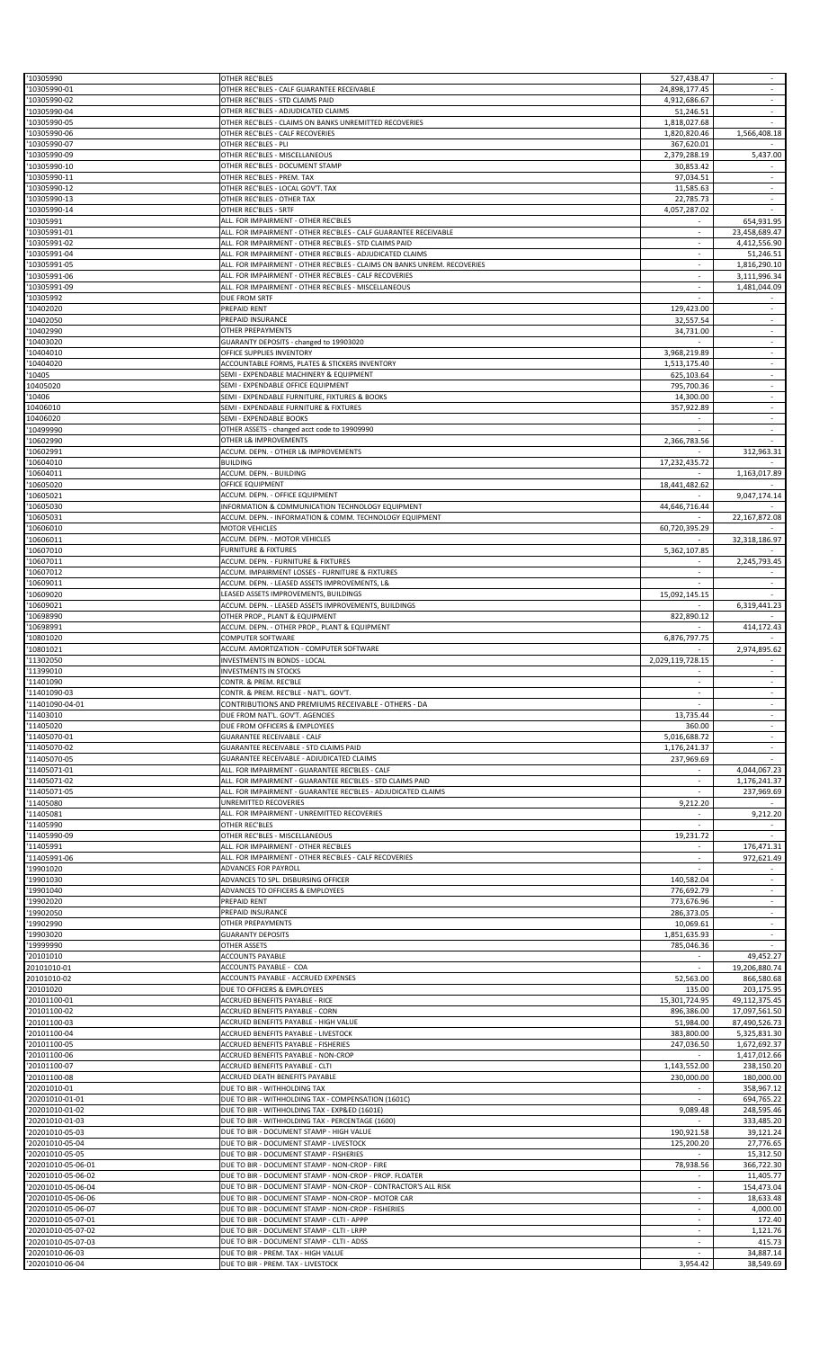| 10305990<br>10305990-01                | OTHER REC'BLES<br>OTHER REC'BLES - CALF GUARANTEE RECEIVABLE                                                        | 527,438.47<br>24,898,177.45  | $\sim$<br>$\sim$                   |
|----------------------------------------|---------------------------------------------------------------------------------------------------------------------|------------------------------|------------------------------------|
| 10305990-02                            | OTHER REC'BLES - STD CLAIMS PAID                                                                                    | 4,912,686.67                 | $\overline{\phantom{a}}$           |
| 10305990-04                            | OTHER REC'BLES - ADJUDICATED CLAIMS                                                                                 | 51,246.51                    | ÷                                  |
| 10305990-05<br>10305990-06             | OTHER REC'BLES - CLAIMS ON BANKS UNREMITTED RECOVERIES<br>OTHER REC'BLES - CALF RECOVERIES                          | 1,818,027.68<br>1,820,820.46 | ×.<br>1,566,408.18                 |
| 10305990-07                            | OTHER REC'BLES - PLI                                                                                                | 367,620.01                   |                                    |
| 10305990-09<br>10305990-10             | OTHER REC'BLES - MISCELLANEOUS<br>OTHER REC'BLES - DOCUMENT STAMP                                                   | 2,379,288.19<br>30,853.42    | 5,437.00                           |
| 10305990-11                            | OTHER REC'BLES - PREM. TAX                                                                                          | 97,034.51                    | $\sim$                             |
| 10305990-12                            | OTHER REC'BLES - LOCAL GOV'T. TAX                                                                                   | 11,585.63                    |                                    |
| 10305990-13<br>10305990-14             | OTHER REC'BLES - OTHER TAX<br>OTHER REC'BLES - SRTF                                                                 | 22,785.73<br>4,057,287.02    | $\sim$                             |
| 10305991                               | ALL. FOR IMPAIRMENT - OTHER REC'BLES                                                                                | $\sim$                       | 654,931.95                         |
| 10305991-01                            | ALL. FOR IMPAIRMENT - OTHER REC'BLES - CALF GUARANTEE RECEIVABLE                                                    |                              | 23,458,689.47                      |
| 10305991-02<br>10305991-04             | ALL. FOR IMPAIRMENT - OTHER REC'BLES - STD CLAIMS PAID<br>ALL. FOR IMPAIRMENT - OTHER REC'BLES - ADJUDICATED CLAIMS | ×.<br>$\sim$                 | 4,412,556.90<br>51,246.51          |
| 10305991-05                            | ALL. FOR IMPAIRMENT - OTHER REC'BLES - CLAIMS ON BANKS UNREM. RECOVERIES                                            |                              | 1,816,290.10                       |
| 10305991-06                            | ALL. FOR IMPAIRMENT - OTHER REC'BLES - CALF RECOVERIES                                                              | $\sim$                       | 3,111,996.34                       |
| 10305991-09<br>10305992                | ALL. FOR IMPAIRMENT - OTHER REC'BLES - MISCELLANEOUS<br>DUE FROM SRTF                                               | ×.                           | 1,481,044.09                       |
| 10402020                               | PREPAID RENT                                                                                                        | 129,423.00                   |                                    |
| 10402050                               | PREPAID INSURANCE                                                                                                   | 32,557.54                    | $\sim$                             |
| 10402990<br>10403020                   | OTHER PREPAYMENTS<br>GUARANTY DEPOSITS - changed to 19903020                                                        | 34,731.00<br>$\sim$          | $\overline{\phantom{a}}$<br>$\sim$ |
| 10404010                               | OFFICE SUPPLIES INVENTORY                                                                                           | 3,968,219.89                 |                                    |
| 10404020                               | ACCOUNTABLE FORMS, PLATES & STICKERS INVENTORY                                                                      | 1,513,175.40                 | $\omega$                           |
| 10405<br>10405020                      | SEMI - EXPENDABLE MACHINERY & EQUIPMENT<br>SEMI - EXPENDABLE OFFICE EQUIPMENT                                       | 625,103.64<br>795,700.36     | $\overline{\phantom{a}}$<br>$\sim$ |
| 10406                                  | SEMI - EXPENDABLE FURNITURE, FIXTURES & BOOKS                                                                       | 14,300.00                    | ÷.                                 |
| 10406010                               | SEMI - EXPENDABLE FURNITURE & FIXTURES                                                                              | 357,922.89                   | $\sim$                             |
| 10406020                               | SEMI - EXPENDABLE BOOKS                                                                                             |                              | $\overline{\phantom{a}}$           |
| 10499990<br>10602990                   | OTHER ASSETS - changed acct code to 19909990<br>OTHER L& IMPROVEMENTS                                               | 2,366,783.56                 | $\bar{a}$                          |
| 10602991                               | ACCUM. DEPN. - OTHER L& IMPROVEMENTS                                                                                |                              | 312,963.31                         |
| 10604010                               | <b>BUILDING</b>                                                                                                     | 17,232,435.72                |                                    |
| 10604011<br>10605020                   | ACCUM. DEPN. - BUILDING<br>OFFICE EQUIPMENT                                                                         | 18,441,482.62                | 1,163,017.89                       |
| 10605021                               | ACCUM. DEPN. - OFFICE EQUIPMENT                                                                                     |                              | 9,047,174.14                       |
| 10605030                               | INFORMATION & COMMUNICATION TECHNOLOGY EQUIPMENT                                                                    | 44,646,716.44                |                                    |
| 10605031<br>10606010                   | ACCUM. DEPN. - INFORMATION & COMM. TECHNOLOGY EQUIPMENT<br><b>MOTOR VEHICLES</b>                                    | 60,720,395.29                | 22,167,872.08                      |
| 10606011                               | ACCUM. DEPN. - MOTOR VEHICLES                                                                                       |                              | 32,318,186.97                      |
| 10607010                               | <b>FURNITURE &amp; FIXTURES</b>                                                                                     | 5,362,107.85                 |                                    |
| 10607011<br>10607012                   | ACCUM. DEPN. - FURNITURE & FIXTURES<br>ACCUM. IMPAIRMENT LOSSES - FURNITURE & FIXTURES                              | ×.                           | 2,245,793.45                       |
| 10609011                               | ACCUM. DEPN. - LEASED ASSETS IMPROVEMENTS, L&                                                                       |                              | $\sim$                             |
| 10609020                               | LEASED ASSETS IMPROVEMENTS, BUILDINGS                                                                               | 15,092,145.15                |                                    |
| 10609021                               | ACCUM. DEPN. - LEASED ASSETS IMPROVEMENTS, BUILDINGS                                                                |                              | 6,319,441.23                       |
| 10698990<br>10698991                   | OTHER PROP., PLANT & EQUIPMENT<br>ACCUM. DEPN. - OTHER PROP., PLANT & EQUIPMENT                                     | 822,890.12                   | 414,172.43                         |
| 10801020                               | <b>COMPUTER SOFTWARE</b>                                                                                            | 6,876,797.75                 |                                    |
| 10801021                               | ACCUM. AMORTIZATION - COMPUTER SOFTWARE                                                                             |                              | 2,974,895.62                       |
| 11302050                               | INVESTMENTS IN BONDS - LOCAL                                                                                        | 2,029,119,728.15             |                                    |
|                                        | <b>INVESTMENTS IN STOCKS</b>                                                                                        |                              |                                    |
| 11399010<br>11401090                   | CONTR. & PREM. REC'BLE                                                                                              |                              |                                    |
| 11401090-03                            | CONTR. & PREM. REC'BLE - NAT'L. GOV'T.                                                                              | ٠                            |                                    |
| 11401090-04-01                         | CONTRIBUTIONS AND PREMIUMS RECEIVABLE - OTHERS - DA                                                                 |                              | $\overline{\phantom{a}}$<br>$\sim$ |
| 11403010<br>11405020                   | DUE FROM NAT'L. GOV'T. AGENCIES<br>DUE FROM OFFICERS & EMPLOYEES                                                    | 13,735.44<br>360.00          |                                    |
| 11405070-01                            | <b>GUARANTEE RECEIVABLE - CALF</b>                                                                                  | 5,016,688.72                 | $\sim$                             |
| 11405070-02                            | GUARANTEE RECEIVABLE - STD CLAIMS PAID                                                                              | 1,176,241.37                 | $\overline{\phantom{a}}$           |
| 11405070-05<br>11405071-01             | GUARANTEE RECEIVABLE - ADJUDICATED CLAIMS<br>ALL. FOR IMPAIRMENT - GUARANTEE REC'BLES - CALF                        | 237,969.69                   | 4,044,067.23                       |
| 11405071-02                            | ALL. FOR IMPAIRMENT - GUARANTEE REC'BLES - STD CLAIMS PAID                                                          | $\sim$                       | 1,176,241.37                       |
| 11405071-05                            | ALL. FOR IMPAIRMENT - GUARANTEE REC'BLES - ADJUDICATED CLAIMS                                                       | $\sim$                       | 237,969.69                         |
| 11405080<br>11405081                   | UNREMITTED RECOVERIES<br>ALL. FOR IMPAIRMENT - UNREMITTED RECOVERIES                                                | 9,212.20                     | 9,212.20                           |
| 11405990                               | OTHER REC'BLES                                                                                                      | $\sim$                       |                                    |
| 11405990-09                            | OTHER REC'BLES - MISCELLANEOUS                                                                                      | 19,231.72                    | 176,471.31                         |
| 11405991<br>11405991-06                | ALL. FOR IMPAIRMENT - OTHER REC'BLES<br>ALL. FOR IMPAIRMENT - OTHER REC'BLES - CALF RECOVERIES                      | $\sim$                       | 972,621.49                         |
| 19901020                               | ADVANCES FOR PAYROLL                                                                                                |                              |                                    |
| 19901030                               | ADVANCES TO SPL. DISBURSING OFFICER                                                                                 | 140,582.04                   | $\sim$                             |
| 19901040<br>19902020                   | ADVANCES TO OFFICERS & EMPLOYEES<br>PREPAID RENT                                                                    | 776,692.79<br>773,676.96     | ×                                  |
| 19902050                               | PREPAID INSURANCE                                                                                                   | 286,373.05                   | $\overline{\phantom{a}}$           |
| 19902990                               | OTHER PREPAYMENTS                                                                                                   | 10,069.61                    | ä,<br>$\omega$                     |
| 19903020<br>19999990                   | <b>GUARANTY DEPOSITS</b><br><b>OTHER ASSETS</b>                                                                     | 1,851,635.93<br>785,046.36   |                                    |
| 20101010                               | ACCOUNTS PAYABLE                                                                                                    |                              | 49,452.27                          |
| 20101010-01                            | ACCOUNTS PAYABLE - COA<br>ACCOUNTS PAYABLE - ACCRUED EXPENSES                                                       |                              | 19,206,880.74                      |
| 20101010-02<br>20101020                | DUE TO OFFICERS & EMPLOYEES                                                                                         | 52,563.00<br>135.00          | 866,580.68<br>203,175.95           |
| 20101100-01                            | ACCRUED BENEFITS PAYABLE - RICE                                                                                     | 15,301,724.95                | 49,112,375.45                      |
| 20101100-02                            | ACCRUED BENEFITS PAYABLE - CORN                                                                                     | 896,386.00                   | 17,097,561.50                      |
| 20101100-03<br>20101100-04             | ACCRUED BENEFITS PAYABLE - HIGH VALUE<br>ACCRUED BENEFITS PAYABLE - LIVESTOCK                                       | 51,984.00<br>383,800.00      | 87,490,526.73<br>5,325,831.30      |
| 20101100-05                            | ACCRUED BENEFITS PAYABLE - FISHERIES                                                                                | 247,036.50                   | 1,672,692.37                       |
| 20101100-06                            | ACCRUED BENEFITS PAYABLE - NON-CROP<br>ACCRUED BENEFITS PAYABLE - CLTI                                              |                              | 1,417,012.66                       |
| 20101100-07<br>20101100-08             | ACCRUED DEATH BENEFITS PAYABLE                                                                                      | 1,143,552.00<br>230,000.00   | 238,150.20<br>180,000.00           |
| 20201010-01                            | DUE TO BIR - WITHHOLDING TAX                                                                                        |                              | 358,967.12                         |
| 20201010-01-01                         | DUE TO BIR - WITHHOLDING TAX - COMPENSATION (1601C)<br>DUE TO BIR - WITHHOLDING TAX - EXP&ED (1601E)                |                              | 694,765.22                         |
| 20201010-01-02<br>20201010-01-03       | DUE TO BIR - WITHHOLDING TAX - PERCENTAGE (1600)                                                                    | 9,089.48                     | 248,595.46<br>333,485.20           |
| 20201010-05-03                         | DUE TO BIR - DOCUMENT STAMP - HIGH VALUE                                                                            | 190,921.58                   | 39,121.24                          |
| 20201010-05-04                         | DUE TO BIR - DOCUMENT STAMP - LIVESTOCK                                                                             | 125,200.20                   | 27,776.65                          |
| 20201010-05-05<br>20201010-05-06-01    | DUE TO BIR - DOCUMENT STAMP - FISHERIES<br>DUE TO BIR - DOCUMENT STAMP - NON-CROP - FIRE                            | 78,938.56                    | 15,312.50<br>366,722.30            |
| 20201010-05-06-02                      | DUE TO BIR - DOCUMENT STAMP - NON-CROP - PROP. FLOATER                                                              |                              | 11,405.77                          |
| 20201010-05-06-04                      | DUE TO BIR - DOCUMENT STAMP - NON-CROP - CONTRACTOR'S ALL RISK                                                      | $\sim$                       | 154,473.04                         |
| 20201010-05-06-06<br>20201010-05-06-07 | DUE TO BIR - DOCUMENT STAMP - NON-CROP - MOTOR CAR<br>DUE TO BIR - DOCUMENT STAMP - NON-CROP - FISHERIES            | $\sim$                       | 18,633.48<br>4,000.00              |
| 20201010-05-07-01                      | DUE TO BIR - DOCUMENT STAMP - CLTI - APPP                                                                           |                              | 172.40                             |
| 20201010-05-07-02                      | DUE TO BIR - DOCUMENT STAMP - CLTI - LRPP                                                                           | $\sim$                       | 1,121.76                           |
| 20201010-05-07-03<br>20201010-06-03    | DUE TO BIR - DOCUMENT STAMP - CLTI - ADSS<br>DUE TO BIR - PREM. TAX - HIGH VALUE                                    | $\sim$                       | 415.73<br>34,887.14                |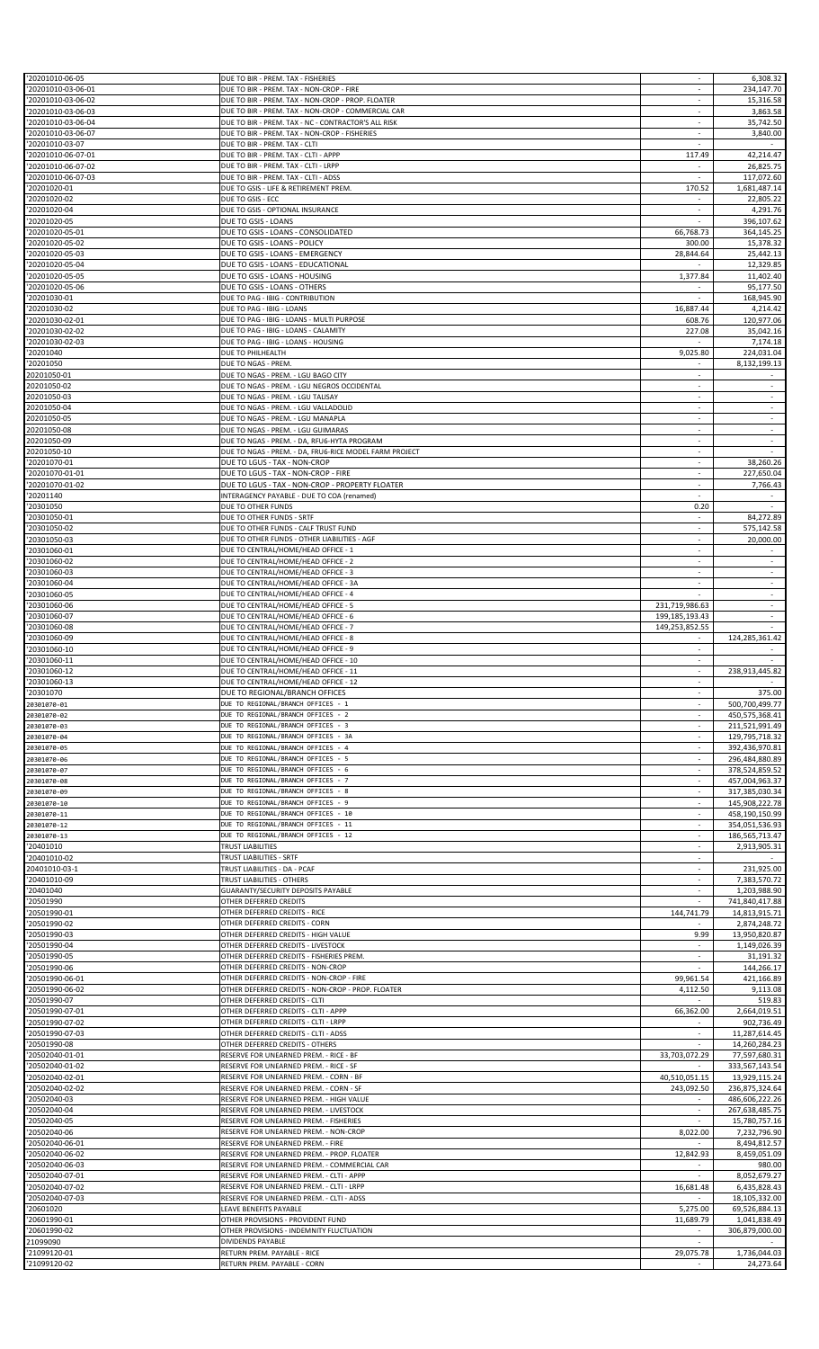| '20201010-06-05                                                                                                             | DUE TO BIR - PREM. TAX - FISHERIES                         |                          | 6,308.32                  |
|-----------------------------------------------------------------------------------------------------------------------------|------------------------------------------------------------|--------------------------|---------------------------|
|                                                                                                                             |                                                            |                          |                           |
| '20201010-03-06-01                                                                                                          | DUE TO BIR - PREM. TAX - NON-CROP - FIRE                   |                          | 234,147.70                |
| '20201010-03-06-02                                                                                                          | DUE TO BIR - PREM. TAX - NON-CROP - PROP. FLOATER          |                          | 15,316.58                 |
| '20201010-03-06-03                                                                                                          | DUE TO BIR - PREM. TAX - NON-CROP - COMMERCIAL CAR         | ×                        | 3,863.58                  |
| '20201010-03-06-04                                                                                                          | DUE TO BIR - PREM. TAX - NC - CONTRACTOR'S ALL RISK        | $\sim$                   | 35,742.50                 |
| '20201010-03-06-07                                                                                                          | DUE TO BIR - PREM. TAX - NON-CROP - FISHERIES              |                          | 3,840.00                  |
| '20201010-03-07                                                                                                             | DUE TO BIR - PREM. TAX - CLTI                              | $\omega$                 |                           |
|                                                                                                                             |                                                            |                          |                           |
| '20201010-06-07-01                                                                                                          | DUE TO BIR - PREM. TAX - CLTI - APPP                       | 117.49                   | 42,214.47                 |
| '20201010-06-07-02                                                                                                          | DUE TO BIR - PREM. TAX - CLTI - LRPP                       | $\sim$                   | 26,825.75                 |
| '20201010-06-07-03                                                                                                          | DUE TO BIR - PREM. TAX - CLTI - ADSS                       |                          | 117,072.60                |
| '20201020-01                                                                                                                | DUE TO GSIS - LIFE & RETIREMENT PREM.                      | 170.52                   | 1,681,487.14              |
| '20201020-02                                                                                                                | DUE TO GSIS - ECC                                          |                          | 22,805.22                 |
| '20201020-04                                                                                                                | DUE TO GSIS - OPTIONAL INSURANCE                           | $\sim$                   | 4,291.76                  |
|                                                                                                                             |                                                            |                          |                           |
| '20201020-05                                                                                                                | DUE TO GSIS - LOANS                                        |                          | 396,107.62                |
| '20201020-05-01                                                                                                             | DUE TO GSIS - LOANS - CONSOLIDATED                         | 66,768.73                | 364,145.25                |
| '20201020-05-02                                                                                                             | DUE TO GSIS - LOANS - POLICY                               | 300.00                   | 15,378.32                 |
| '20201020-05-03                                                                                                             | DUE TO GSIS - LOANS - EMERGENCY                            | 28,844.64                | 25,442.13                 |
|                                                                                                                             |                                                            |                          |                           |
| '20201020-05-04                                                                                                             | DUE TO GSIS - LOANS - EDUCATIONAL                          |                          | 12,329.85                 |
| '20201020-05-05                                                                                                             | DUE TO GSIS - LOANS - HOUSING                              | 1,377.84                 | 11,402.40                 |
| '20201020-05-06                                                                                                             | DUE TO GSIS - LOANS - OTHERS                               |                          | 95,177.50                 |
| '20201030-01                                                                                                                | DUE TO PAG - IBIG - CONTRIBUTION                           |                          | 168,945.90                |
| '20201030-02                                                                                                                | DUE TO PAG - IBIG - LOANS                                  | 16,887.44                | 4,214.42                  |
|                                                                                                                             |                                                            |                          |                           |
| '20201030-02-01                                                                                                             | DUE TO PAG - IBIG - LOANS - MULTI PURPOSE                  | 608.76                   | 120,977.06                |
| '20201030-02-02                                                                                                             | DUE TO PAG - IBIG - LOANS - CALAMITY                       | 227.08                   | 35,042.16                 |
| '20201030-02-03                                                                                                             | DUE TO PAG - IBIG - LOANS - HOUSING                        |                          | 7,174.18                  |
| '20201040                                                                                                                   | DUE TO PHILHEALTH                                          | 9,025.80                 | 224,031.04                |
|                                                                                                                             |                                                            |                          |                           |
| '20201050                                                                                                                   | DUE TO NGAS - PREM.                                        |                          | 8,132,199.13              |
| 20201050-01                                                                                                                 | DUE TO NGAS - PREM. - LGU BAGO CITY                        | $\sim$                   |                           |
| 20201050-02                                                                                                                 | DUE TO NGAS - PREM. - LGU NEGROS OCCIDENTAL                |                          |                           |
| 20201050-03                                                                                                                 | DUE TO NGAS - PREM. - LGU TALISAY                          | ×                        | $\sim$                    |
|                                                                                                                             |                                                            |                          |                           |
| 20201050-04                                                                                                                 | DUE TO NGAS - PREM. - LGU VALLADOLID                       |                          |                           |
| 20201050-05                                                                                                                 | DUE TO NGAS - PREM. - LGU MANAPLA                          | $\sim$                   |                           |
| 20201050-08                                                                                                                 | DUE TO NGAS - PREM. - LGU GUIMARAS                         | ÷                        | $\omega$                  |
| 20201050-09                                                                                                                 | DUE TO NGAS - PREM. - DA, RFU6-HYTA PROGRAM                | $\sim$                   | $\sim$                    |
| 20201050-10                                                                                                                 | DUE TO NGAS - PREM. - DA, FRU6-RICE MODEL FARM PROJECT     | $\sim$                   |                           |
|                                                                                                                             |                                                            |                          |                           |
| '20201070-01                                                                                                                | DUE TO LGUS - TAX - NON-CROP                               |                          | 38,260.26                 |
| '20201070-01-01                                                                                                             | DUE TO LGUS - TAX - NON-CROP - FIRE                        |                          | 227,650.04                |
| '20201070-01-02                                                                                                             | DUE TO LGUS - TAX - NON-CROP - PROPERTY FLOATER            | $\overline{\phantom{a}}$ | 7,766.43                  |
| '20201140                                                                                                                   | INTERAGENCY PAYABLE - DUE TO COA (renamed)                 | $\sim$                   |                           |
|                                                                                                                             |                                                            |                          |                           |
| '20301050                                                                                                                   | DUE TO OTHER FUNDS                                         | 0.20                     |                           |
| '20301050-01                                                                                                                | DUE TO OTHER FUNDS - SRTF                                  | $\sim$                   | 84,272.89                 |
| '20301050-02                                                                                                                | DUE TO OTHER FUNDS - CALF TRUST FUND                       |                          | 575,142.58                |
| '20301050-03                                                                                                                | DUE TO OTHER FUNDS - OTHER LIABILITIES - AGF               | $\sim$                   | 20,000.00                 |
|                                                                                                                             |                                                            |                          |                           |
| '20301060-01                                                                                                                | DUE TO CENTRAL/HOME/HEAD OFFICE - 1                        |                          |                           |
| '20301060-02                                                                                                                | DUE TO CENTRAL/HOME/HEAD OFFICE - 2                        | $\sim$                   | $\sim$                    |
| '20301060-03                                                                                                                | DUE TO CENTRAL/HOME/HEAD OFFICE - 3                        | $\overline{\phantom{a}}$ | $\sim$                    |
| '20301060-04                                                                                                                | DUE TO CENTRAL/HOME/HEAD OFFICE - 3A                       |                          |                           |
| '20301060-05                                                                                                                | DUE TO CENTRAL/HOME/HEAD OFFICE - 4                        |                          | ÷.                        |
|                                                                                                                             |                                                            |                          |                           |
| '20301060-06                                                                                                                | DUE TO CENTRAL/HOME/HEAD OFFICE - 5                        | 231,719,986.63           | $\sim$                    |
| '20301060-07                                                                                                                | DUE TO CENTRAL/HOME/HEAD OFFICE - 6                        | 199,185,193.43           | $\sim$                    |
| '20301060-08                                                                                                                | DUE TO CENTRAL/HOME/HEAD OFFICE - 7                        | 149,253,852.55           |                           |
| '20301060-09                                                                                                                | DUE TO CENTRAL/HOME/HEAD OFFICE - 8                        |                          | 124,285,361.42            |
| '20301060-10                                                                                                                | DUE TO CENTRAL/HOME/HEAD OFFICE - 9                        | $\overline{\phantom{a}}$ |                           |
|                                                                                                                             |                                                            |                          |                           |
| '20301060-11                                                                                                                | DUE TO CENTRAL/HOME/HEAD OFFICE - 10                       | $\sim$                   |                           |
|                                                                                                                             |                                                            |                          |                           |
| '20301060-12                                                                                                                | DUE TO CENTRAL/HOME/HEAD OFFICE - 11                       |                          | 238,913,445.82            |
| '20301060-13                                                                                                                | DUE TO CENTRAL/HOME/HEAD OFFICE - 12                       |                          |                           |
|                                                                                                                             |                                                            |                          | 375.00                    |
| '20301070                                                                                                                   | DUE TO REGIONAL/BRANCH OFFICES                             |                          |                           |
| 20301070-01                                                                                                                 | DUE TO REGIONAL/BRANCH OFFICES - 1                         | $\sim$                   | 500,700,499.77            |
| 20301070-02                                                                                                                 | DUE TO REGIONAL/BRANCH OFFICES - 2                         |                          | 450,575,368.41            |
| 20301070-03                                                                                                                 | DUE TO REGIONAL/BRANCH OFFICES - 3                         | ×                        | 211,521,991.49            |
| 20301070-04                                                                                                                 | DUE TO REGIONAL/BRANCH OFFICES - 3A                        | $\overline{\phantom{a}}$ | 129,795,718.32            |
|                                                                                                                             | DUE TO REGIONAL/BRANCH OFFICES - 4                         | $\sim$                   |                           |
| 20301070-05                                                                                                                 |                                                            |                          | 392,436,970.81            |
| 20301070-06                                                                                                                 | DUE TO REGIONAL/BRANCH OFFICES - 5                         |                          | 296,484,880.89            |
| 20301070-07                                                                                                                 | DUE TO REGIONAL/BRANCH OFFICES - 6                         | ×.                       | 378,524,859.52            |
| 20301070-08                                                                                                                 | DUE TO REGIONAL/BRANCH OFFICES - 7                         | $\sim$                   | 457,004,963.37            |
| 20301070-09                                                                                                                 | DUE TO REGIONAL/BRANCH OFFICES - 8                         |                          |                           |
|                                                                                                                             | DUE TO REGIONAL/BRANCH OFFICES - 9                         | ÷                        | 317,385,030.34            |
| 20301070-10                                                                                                                 |                                                            |                          | 145,908,222.78            |
| 20301070-11                                                                                                                 | DUE TO REGIONAL/BRANCH OFFICES - 10                        | ×.                       | 458,190,150.99            |
| 20301070-12                                                                                                                 | DUE TO REGIONAL/BRANCH OFFICES - 11                        | $\sim$                   | 354,051,536.93            |
| 20301070-13                                                                                                                 | DUE TO REGIONAL/BRANCH OFFICES - 12                        |                          | 186,565,713.47            |
| '20401010                                                                                                                   | TRUST LIABILITIES                                          | $\sim$                   | 2,913,905.31              |
| '20401010-02                                                                                                                | TRUST LIABILITIES - SRTF                                   |                          |                           |
|                                                                                                                             |                                                            |                          |                           |
| 20401010-03-1                                                                                                               | TRUST LIABILITIES - DA - PCAF                              | $\sim$                   | 231,925.00                |
| '20401010-09                                                                                                                | TRUST LIABILITIES - OTHERS                                 |                          | 7,383,570.72              |
| '20401040                                                                                                                   | GUARANTY/SECURITY DEPOSITS PAYABLE                         | ÷                        | 1,203,988.90              |
| '20501990                                                                                                                   | OTHER DEFERRED CREDITS                                     |                          | 741,840,417.88            |
| '20501990-01                                                                                                                | OTHER DEFERRED CREDITS - RICE                              | 144,741.79               | 14,813,915.71             |
| '20501990-02                                                                                                                | OTHER DEFERRED CREDITS - CORN                              |                          | 2,874,248.72              |
|                                                                                                                             |                                                            |                          |                           |
| '20501990-03                                                                                                                | OTHER DEFERRED CREDITS - HIGH VALUE                        | 9.99                     | 13,950,820.87             |
| '20501990-04                                                                                                                | OTHER DEFERRED CREDITS - LIVESTOCK                         | $\sim$                   | 1,149,026.39              |
| '20501990-05                                                                                                                | OTHER DEFERRED CREDITS - FISHERIES PREM.                   |                          | 31,191.32                 |
| '20501990-06                                                                                                                | OTHER DEFERRED CREDITS - NON-CROP                          |                          | 144,266.17                |
| '20501990-06-01                                                                                                             | OTHER DEFERRED CREDITS - NON-CROP - FIRE                   |                          | 421,166.89                |
|                                                                                                                             |                                                            | 99,961.54                |                           |
| '20501990-06-02                                                                                                             | OTHER DEFERRED CREDITS - NON-CROP - PROP. FLOATER          | 4,112.50                 | 9,113.08                  |
| '20501990-07                                                                                                                | OTHER DEFERRED CREDITS - CLTI                              |                          | 519.83                    |
| '20501990-07-01                                                                                                             | OTHER DEFERRED CREDITS - CLTI - APPP                       | 66,362.00                | 2,664,019.51              |
| '20501990-07-02                                                                                                             | OTHER DEFERRED CREDITS - CLTI - LRPP                       |                          | 902,736.49                |
| '20501990-07-03                                                                                                             | OTHER DEFERRED CREDITS - CLTI - ADSS                       | $\sim$                   | 11,287,614.45             |
|                                                                                                                             |                                                            |                          |                           |
| '20501990-08                                                                                                                | OTHER DEFERRED CREDITS - OTHERS                            |                          | 14,260,284.23             |
| '20502040-01-01                                                                                                             | RESERVE FOR UNEARNED PREM. - RICE - BF                     | 33,703,072.29            | 77,597,680.31             |
| '20502040-01-02                                                                                                             | RESERVE FOR UNEARNED PREM. - RICE - SF                     |                          | 333,567,143.54            |
| '20502040-02-01                                                                                                             | RESERVE FOR UNEARNED PREM. - CORN - BF                     | 40,510,051.15            | 13,929,115.24             |
|                                                                                                                             |                                                            |                          |                           |
|                                                                                                                             | RESERVE FOR UNEARNED PREM. - CORN - SF                     | 243,092.50               | 236,875,324.64            |
|                                                                                                                             | RESERVE FOR UNEARNED PREM. - HIGH VALUE                    |                          | 486,606,222.26            |
| '20502040-04                                                                                                                | RESERVE FOR UNEARNED PREM. - LIVESTOCK                     | $\sim$                   | 267,638,485.75            |
| '20502040-05                                                                                                                | RESERVE FOR UNEARNED PREM. - FISHERIES                     |                          | 15,780,757.16             |
|                                                                                                                             |                                                            |                          |                           |
|                                                                                                                             | RESERVE FOR UNEARNED PREM. - NON-CROP                      | 8,022.00                 | 7,232,796.90              |
|                                                                                                                             | RESERVE FOR UNEARNED PREM. - FIRE                          |                          | 8,494,812.57              |
|                                                                                                                             | RESERVE FOR UNEARNED PREM. - PROP. FLOATER                 | 12,842.93                | 8,459,051.09              |
|                                                                                                                             | RESERVE FOR UNEARNED PREM. - COMMERCIAL CAR                |                          | 980.00                    |
|                                                                                                                             | RESERVE FOR UNEARNED PREM. - CLTI - APPP                   |                          | 8,052,679.27              |
| '20502040-02-02<br>'20502040-03<br>'20502040-06<br>'20502040-06-01<br>'20502040-06-02<br>'20502040-06-03<br>'20502040-07-01 |                                                            |                          |                           |
| '20502040-07-02                                                                                                             | RESERVE FOR UNEARNED PREM. - CLTI - LRPP                   | 16,681.48                | 6,435,828.43              |
| '20502040-07-03                                                                                                             | RESERVE FOR UNEARNED PREM. - CLTI - ADSS                   |                          | 18,105,332.00             |
| '20601020                                                                                                                   | LEAVE BENEFITS PAYABLE                                     | 5,275.00                 | 69,526,884.13             |
| '20601990-01                                                                                                                | OTHER PROVISIONS - PROVIDENT FUND                          | 11,689.79                | 1,041,838.49              |
| '20601990-02                                                                                                                | OTHER PROVISIONS - INDEMNITY FLUCTUATION                   |                          |                           |
|                                                                                                                             |                                                            |                          | 306,879,000.00            |
| 21099090                                                                                                                    | DIVIDENDS PAYABLE                                          |                          |                           |
| '21099120-01<br>'21099120-02                                                                                                | RETURN PREM. PAYABLE - RICE<br>RETURN PREM. PAYABLE - CORN | 29,075.78                | 1,736,044.03<br>24,273.64 |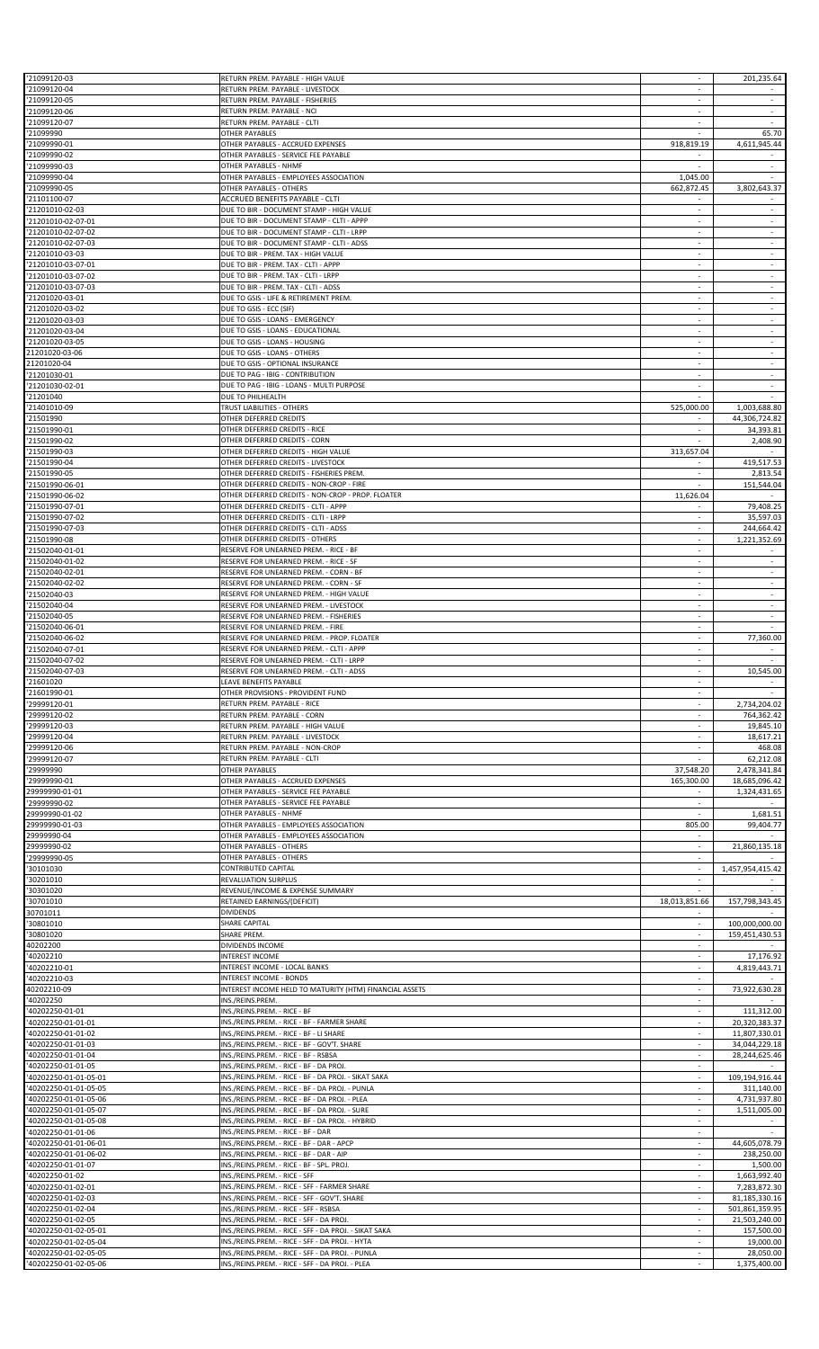| '21099120-03                                  | RETURN PREM. PAYABLE - HIGH VALUE                               |                          | 201,235.64               |
|-----------------------------------------------|-----------------------------------------------------------------|--------------------------|--------------------------|
| '21099120-04                                  | RETURN PREM. PAYABLE - LIVESTOCK                                | $\sim$                   |                          |
| '21099120-05                                  | RETURN PREM. PAYABLE - FISHERIES                                |                          |                          |
| '21099120-06                                  | RETURN PREM. PAYABLE - NCI                                      | $\sim$                   | ÷                        |
| '21099120-07                                  | RETURN PREM. PAYABLE - CLTI                                     | $\sim$                   |                          |
|                                               |                                                                 |                          |                          |
| '21099990                                     | OTHER PAYABLES                                                  |                          | 65.70                    |
| '21099990-01                                  | OTHER PAYABLES - ACCRUED EXPENSES                               | 918,819.19               | 4,611,945.44             |
| '21099990-02                                  | OTHER PAYABLES - SERVICE FEE PAYABLE                            |                          |                          |
| '21099990-03                                  | OTHER PAYABLES - NHMF<br>OTHER PAYABLES - EMPLOYEES ASSOCIATION |                          | $\overline{\phantom{a}}$ |
| 21099990-04                                   |                                                                 | 1,045.00                 |                          |
| '21099990-05                                  | OTHER PAYABLES - OTHERS                                         | 662,872.45               | 3,802,643.37             |
| '21101100-07                                  | ACCRUED BENEFITS PAYABLE - CLTI                                 |                          |                          |
| '21201010-02-03                               | DUE TO BIR - DOCUMENT STAMP - HIGH VALUE                        | $\sim$                   | $\sim$                   |
| 21201010-02-07-01                             | DUE TO BIR - DOCUMENT STAMP - CLTI - APPP                       |                          | $\overline{\phantom{a}}$ |
| '21201010-02-07-02                            | DUE TO BIR - DOCUMENT STAMP - CLTI - LRPP                       | ×.                       | $\overline{\phantom{a}}$ |
| '21201010-02-07-03                            | DUE TO BIR - DOCUMENT STAMP - CLTI - ADSS                       | $\overline{\phantom{a}}$ | $\overline{\phantom{a}}$ |
| '21201010-03-03                               | DUE TO BIR - PREM. TAX - HIGH VALUE                             | $\sim$                   | $\sim$                   |
| '21201010-03-07-01                            | DUE TO BIR - PREM. TAX - CLTI - APPP                            |                          |                          |
| '21201010-03-07-02                            | DUE TO BIR - PREM. TAX - CLTI - LRPP                            | ×.                       | ÷                        |
|                                               |                                                                 |                          |                          |
| '21201010-03-07-03                            | DUE TO BIR - PREM. TAX - CLTI - ADSS                            |                          | $\overline{\phantom{a}}$ |
| '21201020-03-01                               | DUE TO GSIS - LIFE & RETIREMENT PREM.                           | $\sim$                   | $\sim$                   |
| '21201020-03-02                               | DUE TO GSIS - ECC (SIF)                                         |                          |                          |
| '21201020-03-03                               | DUE TO GSIS - LOANS - EMERGENCY                                 | ÷.                       | ÷                        |
| '21201020-03-04                               | DUE TO GSIS - LOANS - EDUCATIONAL                               | $\sim$                   | $\overline{\phantom{a}}$ |
| '21201020-03-05                               | DUE TO GSIS - LOANS - HOUSING                                   |                          | $\overline{\phantom{a}}$ |
| 21201020-03-06                                | DUE TO GSIS - LOANS - OTHERS                                    | $\sim$                   | ÷                        |
| 21201020-04                                   | DUE TO GSIS - OPTIONAL INSURANCE                                | $\sim$                   | $\overline{\phantom{a}}$ |
| '21201030-01                                  | DUE TO PAG - IBIG - CONTRIBUTION                                | $\sim$                   | $\sim$                   |
|                                               |                                                                 |                          |                          |
| 21201030-02-01                                | DUE TO PAG - IBIG - LOANS - MULTI PURPOSE                       |                          | $\overline{\phantom{a}}$ |
| '21201040                                     | DUE TO PHILHEALTH                                               |                          |                          |
| '21401010-09                                  | TRUST LIABILITIES - OTHERS                                      | 525,000.00               | 1,003,688.80             |
| '21501990                                     | OTHER DEFERRED CREDITS                                          | $\sim$                   | 44,306,724.82            |
| '21501990-01                                  | OTHER DEFERRED CREDITS - RICE                                   |                          | 34,393.81                |
| '21501990-02                                  | OTHER DEFERRED CREDITS - CORN                                   | ÷.                       | 2,408.90                 |
| '21501990-03                                  | OTHER DEFERRED CREDITS - HIGH VALUE                             | 313,657.04               |                          |
| '21501990-04                                  | OTHER DEFERRED CREDITS - LIVESTOCK                              | $\overline{\phantom{a}}$ | 419,517.53               |
| '21501990-05                                  | OTHER DEFERRED CREDITS - FISHERIES PREM                         |                          | 2,813.54                 |
|                                               |                                                                 | $\sim$                   |                          |
| '21501990-06-01                               | OTHER DEFERRED CREDITS - NON-CROP - FIRE                        |                          | 151,544.04               |
| '21501990-06-02                               | OTHER DEFERRED CREDITS - NON-CROP - PROP. FLOATER               | 11,626.04                |                          |
| 21501990-07-01                                | OTHER DEFERRED CREDITS - CLTI - APPP                            |                          | 79,408.25                |
| '21501990-07-02                               | OTHER DEFERRED CREDITS - CLTI - LRPP                            |                          | 35,597.03                |
| '21501990-07-03                               | OTHER DEFERRED CREDITS - CLTI - ADSS                            | ÷                        | 244,664.42               |
| '21501990-08                                  | OTHER DEFERRED CREDITS - OTHERS                                 | $\overline{\phantom{a}}$ | 1,221,352.69             |
| '21502040-01-01                               | RESERVE FOR UNEARNED PREM. - RICE - BF                          |                          |                          |
| '21502040-01-02                               | RESERVE FOR UNEARNED PREM. - RICE - SF                          | $\sim$                   | ÷                        |
| '21502040-02-01                               | RESERVE FOR UNEARNED PREM. - CORN - BF                          | $\overline{\phantom{a}}$ | $\overline{\phantom{a}}$ |
|                                               |                                                                 | $\sim$                   | $\sim$                   |
| '21502040-02-02                               | RESERVE FOR UNEARNED PREM. - CORN - SF                          |                          |                          |
| '21502040-03                                  | RESERVE FOR UNEARNED PREM. - HIGH VALUE                         |                          |                          |
| '21502040-04                                  | RESERVE FOR UNEARNED PREM. - LIVESTOCK                          | $\sim$                   | ÷                        |
| '21502040-05                                  | RESERVE FOR UNEARNED PREM. - FISHERIES                          |                          |                          |
| '21502040-06-01                               | RESERVE FOR UNEARNED PREM. - FIRE                               | $\sim$                   |                          |
| '21502040-06-02                               | RESERVE FOR UNEARNED PREM. - PROP. FLOATER                      |                          | 77,360.00                |
| '21502040-07-01                               | RESERVE FOR UNEARNED PREM. - CLTI - APPP                        | $\overline{\phantom{a}}$ |                          |
| 21502040-07-02                                | RESERVE FOR UNEARNED PREM. - CLTI - LRPP                        | $\overline{\phantom{a}}$ | $\overline{\phantom{a}}$ |
| 21502040-07-03                                | RESERVE FOR UNEARNED PREM. - CLTI - ADSS                        |                          | 10,545.00                |
| '21601020                                     | LEAVE BENEFITS PAYABLE                                          |                          |                          |
|                                               |                                                                 | $\sim$                   | $\sim$                   |
| '21601990-01                                  | OTHER PROVISIONS - PROVIDENT FUND                               |                          |                          |
| 29999120-01                                   | RETURN PREM. PAYABLE - RICE                                     | $\overline{\phantom{a}}$ | 2,734,204.02             |
| 29999120-02                                   | RETURN PREM. PAYABLE - CORN                                     | $\sim$                   | 764,362.42               |
| '29999120-03                                  | RETURN PREM. PAYABLE - HIGH VALUE                               | ÷.                       | 19,845.10                |
| 29999120-04                                   | RETURN PREM. PAYABLE - LIVESTOCK                                | $\overline{\phantom{a}}$ | 18,617.21                |
| 29999120-06                                   | RETURN PREM. PAYABLE - NON-CROP                                 | $\sim$                   | 468.08                   |
| '29999120-07                                  | RETURN PREM. PAYABLE - CLTI                                     |                          | 62,212.08                |
| '29999990                                     | OTHER PAYABLES                                                  | 37,548.20                | 2,478,341.84             |
| 29999990-01                                   | OTHER PAYABLES - ACCRUED EXPENSES                               | 165,300.00               | 18,685,096.42            |
| 29999990-01-01                                | OTHER PAYABLES - SERVICE FEE PAYABLE                            | $\sim$                   | 1,324,431.65             |
|                                               | OTHER PAYABLES - SERVICE FEE PAYABLE                            |                          |                          |
| '29999990-02                                  |                                                                 |                          |                          |
| 29999990-01-02                                | OTHER PAYABLES - NHMF                                           | $\mathcal{L}$            | 1,681.51                 |
| 29999990-01-03                                | OTHER PAYABLES - EMPLOYEES ASSOCIATION                          | 805.00                   | 99,404.77                |
| 29999990-04                                   | OTHER PAYABLES - EMPLOYEES ASSOCIATION                          | $\overline{\phantom{a}}$ |                          |
| 29999990-02                                   | OTHER PAYABLES - OTHERS                                         | $\sim$                   | 21,860,135.18            |
| '29999990-05                                  | OTHER PAYABLES - OTHERS                                         | ÷.                       |                          |
| 30101030                                      | CONTRIBUTED CAPITAL                                             | $\overline{\phantom{a}}$ | 1,457,954,415.42         |
| 30201010                                      | REVALUATION SURPLUS                                             |                          |                          |
| '30301020                                     | REVENUE/INCOME & EXPENSE SUMMARY                                | $\overline{a}$           |                          |
| '30701010                                     | RETAINED EARNINGS/(DEFICIT)                                     | 18,013,851.66            | 157,798,343.45           |
| 30701011                                      | <b>DIVIDENDS</b>                                                | $\overline{\phantom{a}}$ |                          |
|                                               |                                                                 |                          |                          |
| 30801010                                      | SHARE CAPITAL                                                   |                          | 100,000,000.00           |
| '30801020                                     | SHARE PREM.                                                     | $\mathcal{L}$            | 159,451,430.53           |
| 40202200                                      | DIVIDENDS INCOME                                                |                          |                          |
| 40202210                                      | INTEREST INCOME                                                 | $\sim$                   | 17,176.92                |
| 40202210-01                                   | INTEREST INCOME - LOCAL BANKS                                   |                          | 4,819,443.71             |
| 40202210-03                                   | <b>INTEREST INCOME - BONDS</b>                                  | $\sim$                   |                          |
| 40202210-09                                   | INTEREST INCOME HELD TO MATURITY (HTM) FINANCIAL ASSETS         | $\overline{\phantom{a}}$ | 73,922,630.28            |
| 40202250                                      | INS./REINS.PREM.                                                | $\sim$                   |                          |
| '40202250-01-01                               | INS./REINS.PREM. - RICE - BF                                    | $\sim$                   | 111,312.00               |
| '40202250-01-01-01                            | INS./REINS.PREM. - RICE - BF - FARMER SHARE                     | $\overline{\phantom{a}}$ | 20,320,383.37            |
| '40202250-01-01-02                            | INS./REINS.PREM. - RICE - BF - LI SHARE                         | $\overline{\phantom{a}}$ | 11,807,330.01            |
|                                               | INS./REINS.PREM. - RICE - BF - GOV'T. SHARE                     |                          |                          |
| 40202250-01-01-03                             |                                                                 | $\overline{\phantom{a}}$ | 34,044,229.18            |
| '40202250-01-01-04                            | INS./REINS.PREM. - RICE - BF - RSBSA                            | ÷.                       | 28,244,625.46            |
| '40202250-01-01-05                            | INS./REINS.PREM. - RICE - BF - DA PROJ.                         | ÷.                       |                          |
| 40202250-01-01-05-01                          | INS./REINS.PREM. - RICE - BF - DA PROJ. - SIKAT SAKA            | $\sim$                   | 109,194,916.44           |
| 40202250-01-01-05-05                          | INS./REINS.PREM. - RICE - BF - DA PROJ. - PUNLA                 |                          | 311,140.00               |
| '40202250-01-01-05-06                         | INS./REINS.PREM. - RICE - BF - DA PROJ. - PLEA                  | ÷.                       | 4,731,937.80             |
| 40202250-01-01-05-07                          | INS./REINS.PREM. - RICE - BF - DA PROJ. - SURE                  | $\overline{\phantom{a}}$ | 1,511,005.00             |
| 40202250-01-01-05-08                          | INS./REINS.PREM. - RICE - BF - DA PROJ. - HYBRID                | $\sim$                   | $\sim$                   |
|                                               |                                                                 |                          |                          |
| 40202250-01-01-06                             | INS./REINS.PREM. - RICE - BF - DAR                              |                          |                          |
| '40202250-01-01-06-01                         | INS./REINS.PREM. - RICE - BF - DAR - APCP                       | $\mathcal{L}$            | 44,605,078.79            |
| '40202250-01-01-06-02                         | INS./REINS.PREM. - RICE - BF - DAR - AIP                        | $\overline{\phantom{a}}$ | 238,250.00               |
| '40202250-01-01-07                            | INS./REINS.PREM. - RICE - BF - SPL. PROJ.                       | $\sim$                   | 1,500.00                 |
| '40202250-01-02                               | INS./REINS.PREM. - RICE - SFF                                   | $\sim$                   | 1,663,992.40             |
| '40202250-01-02-01                            | INS./REINS.PREM. - RICE - SFF - FARMER SHARE                    | $\sim$                   | 7,283,872.30             |
| '40202250-01-02-03                            | INS./REINS.PREM. - RICE - SFF - GOV'T. SHARE                    | $\overline{\phantom{a}}$ | 81,185,330.16            |
| 40202250-01-02-04                             | INS./REINS.PREM. - RICE - SFF - RSBSA                           |                          | 501,861,359.95           |
| '40202250-01-02-05                            | INS./REINS.PREM. - RICE - SFF - DA PROJ.                        | $\mathcal{L}$            | 21,503,240.00            |
|                                               |                                                                 | $\sim$                   |                          |
| '40202250-01-02-05-01                         | INS./REINS.PREM. - RICE - SFF - DA PROJ. - SIKAT SAKA           |                          | 157,500.00               |
| 40202250-01-02-05-04<br>'40202250-01-02-05-05 | INS./REINS.PREM. - RICE - SFF - DA PROJ. - HYTA                 | $\sim$                   | 19,000.00                |
|                                               | INS./REINS.PREM. - RICE - SFF - DA PROJ. - PUNLA                |                          | 28,050.00                |
| 40202250-01-02-05-06                          | INS./REINS.PREM. - RICE - SFF - DA PROJ. - PLEA                 | $\sim$                   | 1,375,400.00             |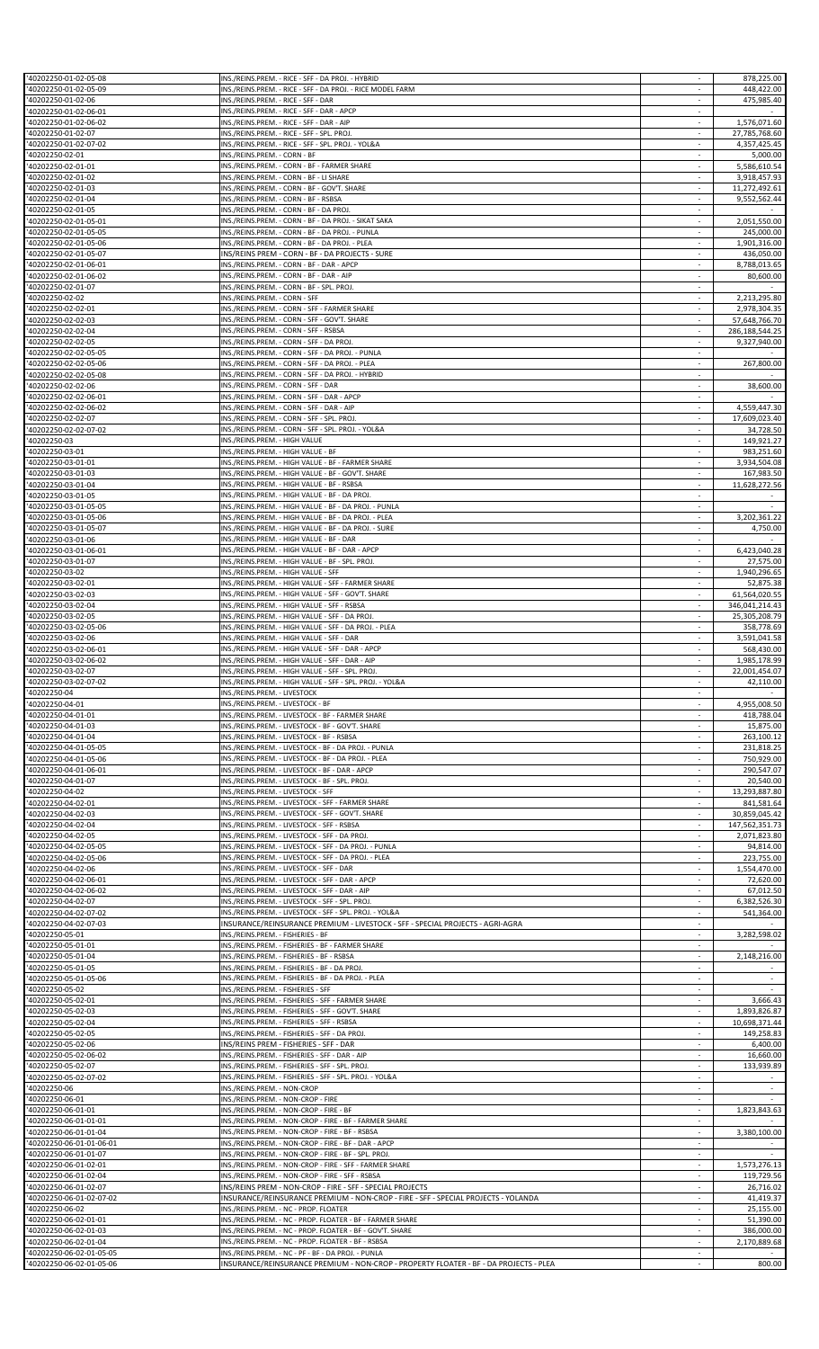| 40202250-01-02-05-09                                                                                                                                                                                                                                                                                                     | INS./REINS.PREM. - RICE - SFF - DA PROJ. - RICE MODEL FARM                                                                                  |                          | 448,422.00     |
|--------------------------------------------------------------------------------------------------------------------------------------------------------------------------------------------------------------------------------------------------------------------------------------------------------------------------|---------------------------------------------------------------------------------------------------------------------------------------------|--------------------------|----------------|
|                                                                                                                                                                                                                                                                                                                          |                                                                                                                                             | $\sim$                   |                |
| '40202250-01-02-06                                                                                                                                                                                                                                                                                                       | INS./REINS.PREM. - RICE - SFF - DAR                                                                                                         |                          | 475,985.40     |
| '40202250-01-02-06-01                                                                                                                                                                                                                                                                                                    | INS./REINS.PREM. - RICE - SFF - DAR - APCP                                                                                                  | $\sim$                   |                |
| '40202250-01-02-06-02                                                                                                                                                                                                                                                                                                    | INS./REINS.PREM. - RICE - SFF - DAR - AIP                                                                                                   | $\overline{\phantom{a}}$ | 1,576,071.60   |
| 40202250-01-02-07                                                                                                                                                                                                                                                                                                        | INS./REINS.PREM. - RICE - SFF - SPL. PROJ.                                                                                                  |                          | 27,785,768.60  |
| '40202250-01-02-07-02                                                                                                                                                                                                                                                                                                    | INS./REINS.PREM. - RICE - SFF - SPL. PROJ. - YOL&A                                                                                          | ×                        | 4,357,425.45   |
| 40202250-02-01                                                                                                                                                                                                                                                                                                           | INS./REINS.PREM. - CORN - BF                                                                                                                |                          | 5,000.00       |
| 40202250-02-01-01                                                                                                                                                                                                                                                                                                        | INS./REINS.PREM. - CORN - BF - FARMER SHARE                                                                                                 | $\sim$                   | 5,586,610.54   |
| 40202250-02-01-02                                                                                                                                                                                                                                                                                                        | INS./REINS.PREM. - CORN - BF - LI SHARE                                                                                                     |                          | 3,918,457.93   |
|                                                                                                                                                                                                                                                                                                                          |                                                                                                                                             |                          |                |
| '40202250-02-01-03                                                                                                                                                                                                                                                                                                       | INS./REINS.PREM. - CORN - BF - GOV'T. SHARE                                                                                                 | $\sim$                   | 11,272,492.61  |
| '40202250-02-01-04                                                                                                                                                                                                                                                                                                       | INS./REINS.PREM. - CORN - BF - RSBSA                                                                                                        |                          | 9,552,562.44   |
| '40202250-02-01-05                                                                                                                                                                                                                                                                                                       | INS./REINS.PREM. - CORN - BF - DA PROJ.                                                                                                     | $\sim$                   |                |
| '40202250-02-01-05-01                                                                                                                                                                                                                                                                                                    | INS./REINS.PREM. - CORN - BF - DA PROJ. - SIKAT SAKA                                                                                        |                          | 2,051,550.00   |
| '40202250-02-01-05-05                                                                                                                                                                                                                                                                                                    | INS./REINS.PREM. - CORN - BF - DA PROJ. - PUNLA                                                                                             | ×                        | 245,000.00     |
| '40202250-02-01-05-06                                                                                                                                                                                                                                                                                                    | INS./REINS.PREM. - CORN - BF - DA PROJ. - PLEA                                                                                              | $\overline{\phantom{a}}$ | 1,901,316.00   |
|                                                                                                                                                                                                                                                                                                                          |                                                                                                                                             |                          |                |
| 40202250-02-01-05-07                                                                                                                                                                                                                                                                                                     | INS/REINS PREM - CORN - BF - DA PROJECTS - SURE                                                                                             |                          | 436,050.00     |
| '40202250-02-01-06-01                                                                                                                                                                                                                                                                                                    | INS./REINS.PREM. - CORN - BF - DAR - APCP                                                                                                   | $\sim$                   | 8.788.013.65   |
| '40202250-02-01-06-02                                                                                                                                                                                                                                                                                                    | INS./REINS.PREM. - CORN - BF - DAR - AIP                                                                                                    | $\sim$                   | 80,600.00      |
| '40202250-02-01-07                                                                                                                                                                                                                                                                                                       | INS./REINS.PREM. - CORN - BF - SPL. PROJ.                                                                                                   |                          |                |
| 40202250-02-02                                                                                                                                                                                                                                                                                                           | INS./REINS.PREM. - CORN - SFF                                                                                                               | $\sim$                   | 2,213,295.80   |
| '40202250-02-02-01                                                                                                                                                                                                                                                                                                       | INS./REINS.PREM. - CORN - SFF - FARMER SHARE                                                                                                | ×                        | 2,978,304.35   |
| '40202250-02-02-03                                                                                                                                                                                                                                                                                                       | INS./REINS.PREM. - CORN - SFF - GOV'T. SHARE                                                                                                | $\overline{\phantom{a}}$ | 57,648,766.70  |
| 40202250-02-02-04                                                                                                                                                                                                                                                                                                        | INS./REINS.PREM. - CORN - SFF - RSBSA                                                                                                       | $\sim$                   | 286,188,544.25 |
| '40202250-02-02-05                                                                                                                                                                                                                                                                                                       |                                                                                                                                             |                          | 9,327,940.00   |
|                                                                                                                                                                                                                                                                                                                          | INS./REINS.PREM. - CORN - SFF - DA PROJ.                                                                                                    |                          |                |
| '40202250-02-02-05-05                                                                                                                                                                                                                                                                                                    | INS./REINS.PREM. - CORN - SFF - DA PROJ. - PUNLA                                                                                            | $\sim$                   |                |
| 40202250-02-02-05-06                                                                                                                                                                                                                                                                                                     | INS./REINS.PREM. - CORN - SFF - DA PROJ. - PLEA                                                                                             |                          | 267,800.00     |
| '40202250-02-02-05-08                                                                                                                                                                                                                                                                                                    | INS./REINS.PREM. - CORN - SFF - DA PROJ. - HYBRID                                                                                           | $\sim$                   |                |
| 40202250-02-02-06                                                                                                                                                                                                                                                                                                        | INS./REINS.PREM. - CORN - SFF - DAR                                                                                                         |                          | 38,600.00      |
| '40202250-02-02-06-01                                                                                                                                                                                                                                                                                                    | INS./REINS.PREM. - CORN - SFF - DAR - APCP                                                                                                  | $\overline{\phantom{a}}$ |                |
| '40202250-02-02-06-02                                                                                                                                                                                                                                                                                                    | INS./REINS.PREM. - CORN - SFF - DAR - AIP                                                                                                   |                          | 4,559,447.30   |
|                                                                                                                                                                                                                                                                                                                          |                                                                                                                                             |                          |                |
| 40202250-02-02-07                                                                                                                                                                                                                                                                                                        | INS./REINS.PREM. - CORN - SFF - SPL. PROJ.                                                                                                  | $\sim$                   | 17,609,023.40  |
| '40202250-02-02-07-02                                                                                                                                                                                                                                                                                                    | INS./REINS.PREM. - CORN - SFF - SPL. PROJ. - YOL&A                                                                                          | $\sim$                   | 34,728.50      |
| 40202250-03                                                                                                                                                                                                                                                                                                              | INS./REINS.PREM. - HIGH VALUE                                                                                                               | ×                        | 149,921.27     |
| 40202250-03-01                                                                                                                                                                                                                                                                                                           | INS./REINS.PREM. - HIGH VALUE - BF                                                                                                          | $\overline{\phantom{a}}$ | 983,251.60     |
| 40202250-03-01-01                                                                                                                                                                                                                                                                                                        | INS./REINS.PREM. - HIGH VALUE - BF - FARMER SHARE                                                                                           |                          | 3,934,504.08   |
| 40202250-03-01-03                                                                                                                                                                                                                                                                                                        | INS./REINS.PREM. - HIGH VALUE - BF - GOV'T. SHARE                                                                                           |                          | 167,983.50     |
| '40202250-03-01-04                                                                                                                                                                                                                                                                                                       | INS./REINS.PREM. - HIGH VALUE - BF - RSBSA                                                                                                  | $\overline{\phantom{a}}$ | 11,628,272.56  |
|                                                                                                                                                                                                                                                                                                                          |                                                                                                                                             |                          |                |
| '40202250-03-01-05                                                                                                                                                                                                                                                                                                       | INS./REINS.PREM. - HIGH VALUE - BF - DA PROJ                                                                                                | $\sim$                   |                |
| '40202250-03-01-05-05                                                                                                                                                                                                                                                                                                    | INS./REINS.PREM. - HIGH VALUE - BF - DA PROJ. - PUNLA                                                                                       |                          |                |
| '40202250-03-01-05-06                                                                                                                                                                                                                                                                                                    | INS./REINS.PREM. - HIGH VALUE - BF - DA PROJ. - PLEA                                                                                        | $\sim$                   | 3,202,361.22   |
| '40202250-03-01-05-07                                                                                                                                                                                                                                                                                                    | INS./REINS.PREM. - HIGH VALUE - BF - DA PROJ. - SURE                                                                                        |                          | 4,750.00       |
| 40202250-03-01-06                                                                                                                                                                                                                                                                                                        | INS./REINS.PREM. - HIGH VALUE - BF - DAR                                                                                                    | $\sim$                   |                |
| '40202250-03-01-06-01                                                                                                                                                                                                                                                                                                    | INS./REINS.PREM. - HIGH VALUE - BF - DAR - APCP                                                                                             |                          | 6,423,040.28   |
| '40202250-03-01-07                                                                                                                                                                                                                                                                                                       | INS./REINS.PREM. - HIGH VALUE - BF - SPL. PROJ.                                                                                             | ×                        | 27,575.00      |
|                                                                                                                                                                                                                                                                                                                          |                                                                                                                                             |                          |                |
| 40202250-03-02                                                                                                                                                                                                                                                                                                           | INS./REINS.PREM. - HIGH VALUE - SFF                                                                                                         | $\overline{\phantom{a}}$ | 1,940,296.65   |
| 40202250-03-02-01                                                                                                                                                                                                                                                                                                        | INS./REINS.PREM. - HIGH VALUE - SFF - FARMER SHARE                                                                                          |                          | 52,875.38      |
| '40202250-03-02-03                                                                                                                                                                                                                                                                                                       | INS./REINS.PREM. - HIGH VALUE - SFF - GOV'T. SHARE                                                                                          | $\sim$                   | 61,564,020.55  |
| '40202250-03-02-04                                                                                                                                                                                                                                                                                                       | INS./REINS.PREM. - HIGH VALUE - SFF - RSBSA                                                                                                 | $\overline{\phantom{a}}$ | 346,041,214.43 |
| '40202250-03-02-05                                                                                                                                                                                                                                                                                                       | INS./REINS.PREM. - HIGH VALUE - SFF - DA PROJ.                                                                                              | $\sim$                   | 25,305,208.79  |
| 40202250-03-02-05-06                                                                                                                                                                                                                                                                                                     | INS./REINS.PREM. - HIGH VALUE - SFF - DA PROJ. - PLEA                                                                                       |                          | 358,778.69     |
| '40202250-03-02-06                                                                                                                                                                                                                                                                                                       | INS./REINS.PREM. - HIGH VALUE - SFF - DAR                                                                                                   | $\sim$                   | 3,591,041.58   |
|                                                                                                                                                                                                                                                                                                                          | INS./REINS.PREM. - HIGH VALUE - SFF - DAR - APCP                                                                                            |                          |                |
| '40202250-03-02-06-01                                                                                                                                                                                                                                                                                                    |                                                                                                                                             | $\overline{\phantom{a}}$ | 568,430.00     |
| 40202250-03-02-06-02                                                                                                                                                                                                                                                                                                     | INS./REINS.PREM. - HIGH VALUE - SFF - DAR - AIP                                                                                             | $\sim$                   | 1,985,178.99   |
| 40202250-03-02-07                                                                                                                                                                                                                                                                                                        | INS./REINS.PREM. - HIGH VALUE - SFF - SPL. PROJ.                                                                                            |                          | 22,001,454.07  |
| '40202250-03-02-07-02                                                                                                                                                                                                                                                                                                    | INS./REINS.PREM. - HIGH VALUE - SFF - SPL. PROJ. - YOL&A                                                                                    |                          | 42,110.00      |
| 40202250-04                                                                                                                                                                                                                                                                                                              | INS./REINS.PREM. - LIVESTOCK                                                                                                                |                          |                |
| 40202250-04-01                                                                                                                                                                                                                                                                                                           | INS./REINS.PREM. - LIVESTOCK - BF                                                                                                           | $\sim$                   | 4,955,008.50   |
| '40202250-04-01-01                                                                                                                                                                                                                                                                                                       | INS./REINS.PREM. - LIVESTOCK - BF - FARMER SHARE                                                                                            |                          | 418,788.04     |
|                                                                                                                                                                                                                                                                                                                          |                                                                                                                                             |                          |                |
|                                                                                                                                                                                                                                                                                                                          |                                                                                                                                             |                          |                |
|                                                                                                                                                                                                                                                                                                                          | INS./REINS.PREM. - LIVESTOCK - BF - GOV'T. SHARE                                                                                            | $\sim$                   | 15,875.00      |
|                                                                                                                                                                                                                                                                                                                          | INS./REINS.PREM. - LIVESTOCK - BF - RSBSA                                                                                                   |                          | 263,100.12     |
| '40202250-04-01-03<br>'40202250-04-01-04<br>40202250-04-01-05-05                                                                                                                                                                                                                                                         | INS./REINS.PREM. - LIVESTOCK - BF - DA PROJ. - PUNLA                                                                                        |                          | 231,818.25     |
|                                                                                                                                                                                                                                                                                                                          | INS./REINS.PREM. - LIVESTOCK - BF - DA PROJ. - PLEA                                                                                         |                          | 750,929.00     |
|                                                                                                                                                                                                                                                                                                                          | INS./REINS.PREM. - LIVESTOCK - BF - DAR - APCP                                                                                              | $\sim$                   | 290.547.07     |
|                                                                                                                                                                                                                                                                                                                          | INS./REINS.PREM. - LIVESTOCK - BF - SPL. PROJ.                                                                                              | $\sim$                   | 20,540.00      |
| '40202250-04-01-05-06<br>40202250-04-01-06-01<br>'40202250-04-01-07                                                                                                                                                                                                                                                      |                                                                                                                                             |                          |                |
|                                                                                                                                                                                                                                                                                                                          | INS./REINS.PREM. - LIVESTOCK - SFF                                                                                                          |                          | 13,293,887.80  |
|                                                                                                                                                                                                                                                                                                                          | INS./REINS.PREM. - LIVESTOCK - SFF - FARMER SHARE                                                                                           |                          | 841,581.64     |
| 40202250-04-02<br>'40202250-04-02-01<br>'40202250-04-02-03                                                                                                                                                                                                                                                               | INS./REINS.PREM. - LIVESTOCK - SFF - GOV'T. SHARE                                                                                           | $\sim$                   | 30,859,045.42  |
|                                                                                                                                                                                                                                                                                                                          | INS./REINS.PREM. - LIVESTOCK - SFF - RSBSA                                                                                                  | $\sim$                   | 147,562,351.73 |
| 40202250-04-02-04<br>'40202250-04-02-05                                                                                                                                                                                                                                                                                  | INS./REINS.PREM. - LIVESTOCK - SFF - DA PROJ.                                                                                               |                          | 2,071,823.80   |
|                                                                                                                                                                                                                                                                                                                          | INS./REINS.PREM. - LIVESTOCK - SFF - DA PROJ. - PUNLA                                                                                       | $\sim$                   | 94,814.00      |
|                                                                                                                                                                                                                                                                                                                          | INS./REINS.PREM. - LIVESTOCK - SFF - DA PROJ. - PLEA                                                                                        |                          | 223,755.00     |
|                                                                                                                                                                                                                                                                                                                          | INS./REINS.PREM. - LIVESTOCK - SFF - DAR                                                                                                    | $\sim$                   | 1,554,470.00   |
| '40202250-04-02-05-05<br>'40202250-04-02-05-06<br>40202250-04-02-06<br>'40202250-04-02-06-01                                                                                                                                                                                                                             | INS./REINS.PREM. - LIVESTOCK - SFF - DAR - APCP                                                                                             |                          | 72,620.00      |
|                                                                                                                                                                                                                                                                                                                          |                                                                                                                                             | ×                        |                |
|                                                                                                                                                                                                                                                                                                                          | INS./REINS.PREM. - LIVESTOCK - SFF - DAR - AIP                                                                                              |                          | 67,012.50      |
|                                                                                                                                                                                                                                                                                                                          | INS./REINS.PREM. - LIVESTOCK - SFF - SPL. PROJ.                                                                                             |                          | 6,382,526.30   |
| '40202250-04-02-06-02<br>'40202250-04-02-07<br>'40202250-04-02-07-02                                                                                                                                                                                                                                                     | INS./REINS.PREM. - LIVESTOCK - SFF - SPL. PROJ. - YOL&A                                                                                     |                          | 541,364.00     |
| '40202250-04-02-07-03                                                                                                                                                                                                                                                                                                    | INSURANCE/REINSURANCE PREMIUM - LIVESTOCK - SFF - SPECIAL PROJECTS - AGRI-AGRA                                                              | $\sim$                   |                |
| '40202250-05-01                                                                                                                                                                                                                                                                                                          | INS./REINS.PREM. - FISHERIES - BF                                                                                                           | $\sim$                   | 3,282,598.02   |
| '40202250-05-01-01                                                                                                                                                                                                                                                                                                       | INS./REINS.PREM. - FISHERIES - BF - FARMER SHARE                                                                                            | $\sim$                   |                |
|                                                                                                                                                                                                                                                                                                                          |                                                                                                                                             |                          |                |
|                                                                                                                                                                                                                                                                                                                          | INS./REINS.PREM. - FISHERIES - BF - RSBSA                                                                                                   |                          | 2,148,216.00   |
| 40202250-05-01-04<br>'40202250-05-01-05                                                                                                                                                                                                                                                                                  | INS./REINS.PREM. - FISHERIES - BF - DA PROJ.                                                                                                |                          |                |
| '40202250-05-01-05-06                                                                                                                                                                                                                                                                                                    | INS./REINS.PREM. - FISHERIES - BF - DA PROJ. - PLEA                                                                                         | $\sim$                   | $\sim$         |
| 40202250-05-02                                                                                                                                                                                                                                                                                                           | INS./REINS.PREM. - FISHERIES - SFF                                                                                                          | $\sim$                   |                |
| 40202250-05-02-01                                                                                                                                                                                                                                                                                                        | INS./REINS.PREM. - FISHERIES - SFF - FARMER SHARE                                                                                           |                          | 3,666.43       |
|                                                                                                                                                                                                                                                                                                                          | INS./REINS.PREM. - FISHERIES - SFF - GOV'T. SHARE                                                                                           | $\sim$                   | 1,893,826.87   |
|                                                                                                                                                                                                                                                                                                                          | INS./REINS.PREM. - FISHERIES - SFF - RSBSA                                                                                                  |                          | 10,698,371.44  |
|                                                                                                                                                                                                                                                                                                                          |                                                                                                                                             | $\sim$                   |                |
|                                                                                                                                                                                                                                                                                                                          | INS./REINS.PREM. - FISHERIES - SFF - DA PROJ.                                                                                               |                          | 149,258.83     |
|                                                                                                                                                                                                                                                                                                                          | INS/REINS PREM - FISHERIES - SFF - DAR                                                                                                      |                          | 6,400.00       |
|                                                                                                                                                                                                                                                                                                                          | INS./REINS.PREM. - FISHERIES - SFF - DAR - AIP                                                                                              | $\sim$                   | 16,660.00      |
|                                                                                                                                                                                                                                                                                                                          | INS./REINS.PREM. - FISHERIES - SFF - SPL. PROJ.                                                                                             |                          | 133,939.89     |
|                                                                                                                                                                                                                                                                                                                          | INS./REINS.PREM. - FISHERIES - SFF - SPL. PROJ. - YOL&A                                                                                     | $\overline{\phantom{a}}$ |                |
|                                                                                                                                                                                                                                                                                                                          | INS./REINS.PREM. - NON-CROP                                                                                                                 |                          |                |
|                                                                                                                                                                                                                                                                                                                          |                                                                                                                                             | $\sim$                   |                |
|                                                                                                                                                                                                                                                                                                                          | INS./REINS.PREM. - NON-CROP - FIRE                                                                                                          | $\sim$                   |                |
|                                                                                                                                                                                                                                                                                                                          | INS./REINS.PREM. - NON-CROP - FIRE - BF                                                                                                     |                          | 1,823,843.63   |
|                                                                                                                                                                                                                                                                                                                          | INS./REINS.PREM. - NON-CROP - FIRE - BF - FARMER SHARE                                                                                      |                          |                |
|                                                                                                                                                                                                                                                                                                                          | INS./REINS.PREM. - NON-CROP - FIRE - BF - RSBSA                                                                                             | $\sim$                   | 3,380,100.00   |
|                                                                                                                                                                                                                                                                                                                          | INS./REINS.PREM. - NON-CROP - FIRE - BF - DAR - APCP                                                                                        | $\sim$                   |                |
| '40202250-05-02-03<br>40202250-05-02-04<br>40202250-05-02-05<br>'40202250-05-02-06<br>'40202250-05-02-06-02<br>'40202250-05-02-07<br>'40202250-05-02-07-02<br>40202250-06<br>'40202250-06-01<br>'40202250-06-01-01<br>40202250-06-01-01-01<br>'40202250-06-01-01-04<br>'40202250-06-01-01-06-01<br>'40202250-06-01-01-07 | INS./REINS.PREM. - NON-CROP - FIRE - BF - SPL. PROJ.                                                                                        | $\sim$                   |                |
|                                                                                                                                                                                                                                                                                                                          |                                                                                                                                             |                          | 1,573,276.13   |
| '40202250-06-01-02-01                                                                                                                                                                                                                                                                                                    | INS./REINS.PREM. - NON-CROP - FIRE - SFF - FARMER SHARE                                                                                     |                          |                |
|                                                                                                                                                                                                                                                                                                                          | INS./REINS.PREM. - NON-CROP - FIRE - SFF - RSBSA                                                                                            | $\sim$                   | 119,729.56     |
|                                                                                                                                                                                                                                                                                                                          | INS/REINS PREM - NON-CROP - FIRE - SFF - SPECIAL PROJECTS                                                                                   |                          | 26,716.02      |
|                                                                                                                                                                                                                                                                                                                          | INSURANCE/REINSURANCE PREMIUM - NON-CROP - FIRE - SFF - SPECIAL PROJECTS - YOLANDA                                                          | $\sim$                   | 41,419.37      |
|                                                                                                                                                                                                                                                                                                                          | INS./REINS.PREM. - NC - PROP. FLOATER                                                                                                       |                          | 25,155.00      |
|                                                                                                                                                                                                                                                                                                                          | INS./REINS.PREM. - NC - PROP. FLOATER - BF - FARMER SHARE                                                                                   | $\sim$                   | 51,390.00      |
|                                                                                                                                                                                                                                                                                                                          | INS./REINS.PREM. - NC - PROP. FLOATER - BF - GOV'T. SHARE                                                                                   |                          | 386,000.00     |
|                                                                                                                                                                                                                                                                                                                          |                                                                                                                                             |                          |                |
|                                                                                                                                                                                                                                                                                                                          | INS./REINS.PREM. - NC - PROP. FLOATER - BF - RSBSA                                                                                          |                          | 2,170,889.68   |
| '40202250-06-01-02-04<br>'40202250-06-01-02-07<br>40202250-06-01-02-07-02<br>40202250-06-02<br>'40202250-06-02-01-01<br>40202250-06-02-01-03<br>40202250-06-02-01-04<br>'40202250-06-02-01-05-05<br>'40202250-06-02-01-05-06                                                                                             | INS./REINS.PREM. - NC - PF - BF - DA PROJ. - PUNLA<br>INSURANCE/REINSURANCE PREMIUM - NON-CROP - PROPERTY FLOATER - BF - DA PROJECTS - PLEA | ×.                       | 800.00         |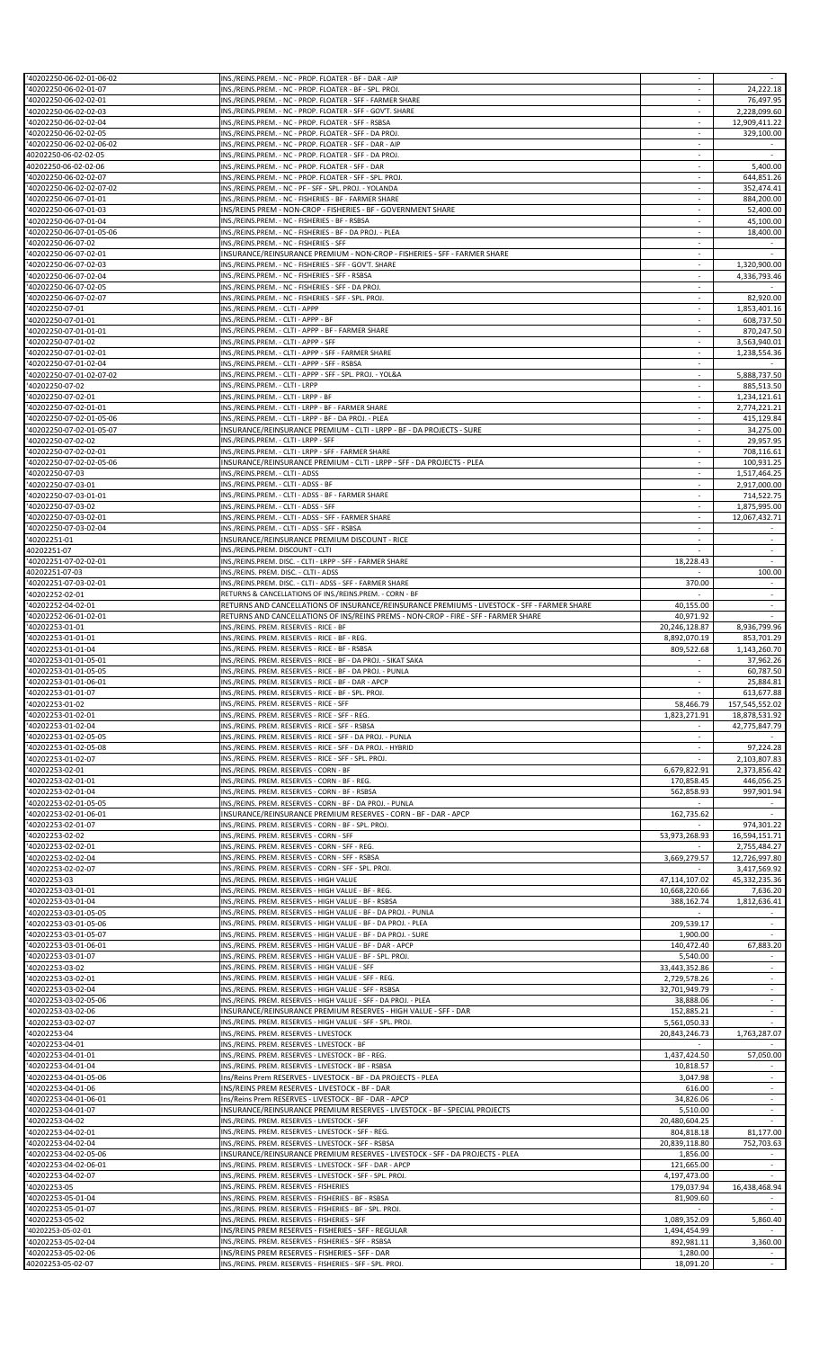| '40202250-06-02-01-06-02                                                                                                                                                                                                                                                | INS./REINS.PREM. - NC - PROP. FLOATER - BF - DAR - AIP                                                            |                          |                |
|-------------------------------------------------------------------------------------------------------------------------------------------------------------------------------------------------------------------------------------------------------------------------|-------------------------------------------------------------------------------------------------------------------|--------------------------|----------------|
| '40202250-06-02-01-07                                                                                                                                                                                                                                                   | INS./REINS.PREM. - NC - PROP. FLOATER - BF - SPL. PROJ.                                                           |                          | 24,222.18      |
| '40202250-06-02-02-01                                                                                                                                                                                                                                                   | INS./REINS.PREM. - NC - PROP. FLOATER - SFF - FARMER SHARE                                                        | ×.                       | 76,497.95      |
| '40202250-06-02-02-03                                                                                                                                                                                                                                                   | INS./REINS.PREM. - NC - PROP. FLOATER - SFF - GOV'T. SHARE<br>INS./REINS.PREM. - NC - PROP. FLOATER - SFF - RSBSA | $\sim$                   | 2,228,099.60   |
| '40202250-06-02-02-04<br>'40202250-06-02-02-05                                                                                                                                                                                                                          | INS./REINS.PREM. - NC - PROP. FLOATER - SFF - DA PROJ.                                                            |                          | 12,909,411.22  |
| '40202250-06-02-02-06-02                                                                                                                                                                                                                                                | INS./REINS.PREM. - NC - PROP. FLOATER - SFF - DAR - AIP                                                           | ×.                       | 329,100.00     |
| 40202250-06-02-02-05                                                                                                                                                                                                                                                    | INS./REINS.PREM. - NC - PROP. FLOATER - SFF - DA PROJ.                                                            | $\overline{\phantom{a}}$ |                |
| 40202250-06-02-02-06                                                                                                                                                                                                                                                    | INS./REINS.PREM. - NC - PROP. FLOATER - SFF - DAR                                                                 | $\sim$                   | 5,400.00       |
| '40202250-06-02-02-07                                                                                                                                                                                                                                                   | INS./REINS.PREM. - NC - PROP. FLOATER - SFF - SPL. PROJ.                                                          |                          | 644,851.26     |
| '40202250-06-02-02-07-02                                                                                                                                                                                                                                                | INS./REINS.PREM. - NC - PF - SFF - SPL. PROJ. - YOLANDA                                                           | ×                        | 352,474.41     |
|                                                                                                                                                                                                                                                                         | INS./REINS.PREM. - NC - FISHERIES - BF - FARMER SHARE                                                             |                          |                |
| '40202250-06-07-01-01<br>'40202250-06-07-01-03                                                                                                                                                                                                                          |                                                                                                                   | $\sim$                   | 884,200.00     |
|                                                                                                                                                                                                                                                                         | INS/REINS PREM - NON-CROP - FISHERIES - BF - GOVERNMENT SHARE                                                     |                          | 52,400.00      |
| '40202250-06-07-01-04                                                                                                                                                                                                                                                   | INS./REINS.PREM. - NC - FISHERIES - BF - RSBSA                                                                    |                          | 45,100.00      |
| '40202250-06-07-01-05-06                                                                                                                                                                                                                                                | INS./REINS.PREM. - NC - FISHERIES - BF - DA PROJ. - PLEA                                                          | $\sim$                   | 18,400.00      |
| '40202250-06-07-02                                                                                                                                                                                                                                                      | INS./REINS.PREM. - NC - FISHERIES - SFF                                                                           | $\sim$                   |                |
| '40202250-06-07-02-01                                                                                                                                                                                                                                                   | INSURANCE/REINSURANCE PREMIUM - NON-CROP - FISHERIES - SFF - FARMER SHARE                                         | $\sim$                   |                |
| '40202250-06-07-02-03                                                                                                                                                                                                                                                   | INS./REINS.PREM. - NC - FISHERIES - SFF - GOV'T. SHARE                                                            | ÷                        | 1,320,900.00   |
| '40202250-06-07-02-04                                                                                                                                                                                                                                                   | INS./REINS.PREM. - NC - FISHERIES - SFF - RSBSA                                                                   | $\sim$                   | 4,336,793.46   |
| '40202250-06-07-02-05                                                                                                                                                                                                                                                   | INS./REINS.PREM. - NC - FISHERIES - SFF - DA PROJ.                                                                | $\sim$                   |                |
| '40202250-06-07-02-07                                                                                                                                                                                                                                                   | INS./REINS.PREM. - NC - FISHERIES - SFF - SPL. PROJ.                                                              | $\overline{\phantom{a}}$ | 82,920.00      |
| '40202250-07-01                                                                                                                                                                                                                                                         | INS./REINS.PREM. - CLTI - APPP                                                                                    | ×.                       | 1,853,401.16   |
| '40202250-07-01-01                                                                                                                                                                                                                                                      | INS./REINS.PREM. - CLTI - APPP - BF                                                                               | $\overline{\phantom{a}}$ | 608,737.50     |
| '40202250-07-01-01-01                                                                                                                                                                                                                                                   | INS./REINS.PREM. - CLTI - APPP - BF - FARMER SHARE                                                                | $\sim$                   | 870.247.50     |
| '40202250-07-01-02                                                                                                                                                                                                                                                      | INS./REINS.PREM. - CLTI - APPP - SFF                                                                              |                          | 3,563,940.01   |
| '40202250-07-01-02-01                                                                                                                                                                                                                                                   | INS./REINS.PREM. - CLTI - APPP - SFF - FARMER SHARE                                                               | ×                        | 1,238,554.36   |
| '40202250-07-01-02-04                                                                                                                                                                                                                                                   | INS./REINS.PREM. - CLTI - APPP - SFF - RSBSA                                                                      | $\overline{\phantom{a}}$ |                |
| '40202250-07-01-02-07-02                                                                                                                                                                                                                                                | INS./REINS.PREM. - CLTI - APPP - SFF - SPL. PROJ. - YOL&A                                                         | $\sim$                   | 5,888,737.50   |
| '40202250-07-02                                                                                                                                                                                                                                                         | INS./REINS.PREM. - CLTI - LRPP                                                                                    |                          | 885,513.50     |
| '40202250-07-02-01                                                                                                                                                                                                                                                      | INS./REINS.PREM. - CLTI - LRPP - BF                                                                               | $\overline{\phantom{a}}$ | 1,234,121.61   |
| '40202250-07-02-01-01                                                                                                                                                                                                                                                   | INS./REINS.PREM. - CLTI - LRPP - BF - FARMER SHARE                                                                | $\overline{\phantom{a}}$ | 2,774,221.21   |
| '40202250-07-02-01-05-06                                                                                                                                                                                                                                                | INS./REINS.PREM. - CLTI - LRPP - BF - DA PROJ. - PLEA                                                             | $\sim$                   | 415.129.84     |
| '40202250-07-02-01-05-07                                                                                                                                                                                                                                                | INSURANCE/REINSURANCE PREMIUM - CLTI - LRPP - BF - DA PROJECTS - SURE                                             |                          | 34,275.00      |
| '40202250-07-02-02                                                                                                                                                                                                                                                      | INS./REINS.PREM. - CLTI - LRPP - SFF                                                                              | ×.                       | 29,957.95      |
| '40202250-07-02-02-01                                                                                                                                                                                                                                                   | INS./REINS.PREM. - CLTI - LRPP - SFF - FARMER SHARE                                                               | $\overline{\phantom{a}}$ | 708,116.61     |
| '40202250-07-02-02-05-06                                                                                                                                                                                                                                                | INSURANCE/REINSURANCE PREMIUM - CLTI - LRPP - SFF - DA PROJECTS - PLEA                                            |                          | 100,931.25     |
| '40202250-07-03                                                                                                                                                                                                                                                         | INS./REINS.PREM. - CLTI - ADSS                                                                                    | ÷                        | 1,517,464.25   |
| '40202250-07-03-01                                                                                                                                                                                                                                                      | INS./REINS.PREM. - CLTI - ADSS - BF                                                                               | $\sim$                   | 2,917,000.00   |
| '40202250-07-03-01-01                                                                                                                                                                                                                                                   | INS./REINS.PREM. - CLTI - ADSS - BF - FARMER SHARE                                                                | $\sim$                   | 714,522.75     |
| '40202250-07-03-02                                                                                                                                                                                                                                                      | INS./REINS.PREM. - CLTI - ADSS - SFF                                                                              |                          | 1,875,995.00   |
| '40202250-07-03-02-01                                                                                                                                                                                                                                                   | INS./REINS.PREM. - CLTI - ADSS - SFF - FARMER SHARE                                                               | $\mathcal{L}$            | 12,067,432.71  |
| '40202250-07-03-02-04                                                                                                                                                                                                                                                   | INS./REINS.PREM. - CLTI - ADSS - SFF - RSBSA                                                                      | $\overline{\phantom{a}}$ |                |
| '40202251-01                                                                                                                                                                                                                                                            | INSURANCE/REINSURANCE PREMIUM DISCOUNT - RICE                                                                     | $\sim$                   | $\sim$         |
| 40202251-07                                                                                                                                                                                                                                                             | INS./REINS.PREM. DISCOUNT - CLTI                                                                                  |                          |                |
| '40202251-07-02-02-01                                                                                                                                                                                                                                                   |                                                                                                                   | 18,228.43                |                |
|                                                                                                                                                                                                                                                                         | INS./REINS.PREM. DISC. - CLTI - LRPP - SFF - FARMER SHARE                                                         |                          |                |
| 40202251-07-03                                                                                                                                                                                                                                                          | INS./REINS. PREM. DISC. - CLTI - ADSS                                                                             |                          | 100.00         |
| '40202251-07-03-02-01                                                                                                                                                                                                                                                   | INS./REINS.PREM. DISC. - CLTI - ADSS - SFF - FARMER SHARE                                                         | 370.00                   |                |
| '40202252-02-01                                                                                                                                                                                                                                                         | RETURNS & CANCELLATIONS OF INS./REINS.PREM. - CORN - BF                                                           |                          | $\omega$       |
| '40202252-04-02-01                                                                                                                                                                                                                                                      | RETURNS AND CANCELLATIONS OF INSURANCE/REINSURANCE PREMIUMS - LIVESTOCK - SFF - FARMER SHARE                      | 40,155.00                | $\sim$         |
| '40202252-06-01-02-01                                                                                                                                                                                                                                                   | RETURNS AND CANCELLATIONS OF INS/REINS PREMS - NON-CROP - FIRE - SFF - FARMER SHARE                               | 40,971.92                |                |
| '40202253-01-01                                                                                                                                                                                                                                                         | INS./REINS. PREM. RESERVES - RICE - BF                                                                            | 20,246,128.87            | 8,936,799.96   |
| '40202253-01-01-01                                                                                                                                                                                                                                                      | INS./REINS. PREM. RESERVES - RICE - BF - REG.                                                                     | 8,892,070.19             | 853,701.29     |
| '40202253-01-01-04                                                                                                                                                                                                                                                      | INS./REINS. PREM. RESERVES - RICE - BF - RSBSA                                                                    | 809.522.68               | 1,143,260.70   |
| '40202253-01-01-05-01                                                                                                                                                                                                                                                   | INS./REINS. PREM. RESERVES - RICE - BF - DA PROJ. - SIKAT SAKA                                                    | $\sim$                   | 37,962.26      |
| '40202253-01-01-05-05                                                                                                                                                                                                                                                   | INS./REINS. PREM. RESERVES - RICE - BF - DA PROJ. - PUNLA                                                         |                          | 60,787.50      |
|                                                                                                                                                                                                                                                                         |                                                                                                                   |                          |                |
|                                                                                                                                                                                                                                                                         | INS./REINS. PREM. RESERVES - RICE - BF - DAR - APCP                                                               |                          | 25,884.81      |
|                                                                                                                                                                                                                                                                         | INS./REINS. PREM. RESERVES - RICE - BF - SPL. PROJ.                                                               |                          | 613,677.88     |
|                                                                                                                                                                                                                                                                         | INS./REINS. PREM. RESERVES - RICE - SFF                                                                           | 58,466.79                | 157,545,552.02 |
|                                                                                                                                                                                                                                                                         | INS./REINS. PREM. RESERVES - RICE - SFF - REG.                                                                    | 1,823,271.91             | 18,878,531.92  |
| '40202253-01-01-06-01<br>'40202253-01-01-07<br>'40202253-01-02<br>'40202253-01-02-01<br>'40202253-01-02-04                                                                                                                                                              | INS./REINS. PREM. RESERVES - RICE - SFF - RSBSA                                                                   |                          | 42,775,847.79  |
|                                                                                                                                                                                                                                                                         | INS./REINS. PREM. RESERVES - RICE - SFF - DA PROJ. - PUNLA                                                        |                          |                |
| '40202253-01-02-05-05<br>'40202253-01-02-05-08                                                                                                                                                                                                                          | INS./REINS. PREM. RESERVES - RICE - SFF - DA PROJ. - HYBRID                                                       |                          | 97.224.28      |
| '40202253-01-02-07                                                                                                                                                                                                                                                      | INS./REINS. PREM. RESERVES - RICE - SFF - SPL. PROJ                                                               |                          | 2,103,807.83   |
| '40202253-02-01                                                                                                                                                                                                                                                         | INS./REINS. PREM. RESERVES - CORN - BF                                                                            | 6,679,822.91             | 2,373,856.42   |
| '40202253-02-01-01                                                                                                                                                                                                                                                      | INS./REINS. PREM. RESERVES - CORN - BF - REG.                                                                     | 170,858.45               | 446,056.25     |
| '40202253-02-01-04                                                                                                                                                                                                                                                      | INS./REINS. PREM. RESERVES - CORN - BF - RSBSA                                                                    | 562,858.93               | 997,901.94     |
| '40202253-02-01-05-05                                                                                                                                                                                                                                                   | INS./REINS. PREM. RESERVES - CORN - BF - DA PROJ. - PUNLA                                                         |                          |                |
| '40202253-02-01-06-01                                                                                                                                                                                                                                                   | INSURANCE/REINSURANCE PREMIUM RESERVES - CORN - BF - DAR - APCP                                                   | 162,735.62               |                |
| '40202253-02-01-07                                                                                                                                                                                                                                                      | INS./REINS. PREM. RESERVES - CORN - BF - SPL. PROJ.                                                               |                          | 974,301.22     |
| '40202253-02-02                                                                                                                                                                                                                                                         | INS./REINS. PREM. RESERVES - CORN - SFF                                                                           | 53,973,268.93            | 16,594,151.71  |
| '40202253-02-02-01                                                                                                                                                                                                                                                      | INS./REINS. PREM. RESERVES - CORN - SFF - REG.                                                                    |                          | 2,755,484.27   |
| '40202253-02-02-04                                                                                                                                                                                                                                                      | INS./REINS. PREM. RESERVES - CORN - SFF - RSBSA                                                                   | 3,669,279.57             | 12,726,997.80  |
|                                                                                                                                                                                                                                                                         | INS./REINS. PREM. RESERVES - CORN - SFF - SPL. PROJ.                                                              | $\sim$                   | 3,417,569.92   |
| '40202253-02-02-07<br>'40202253-03                                                                                                                                                                                                                                      | INS./REINS. PREM. RESERVES - HIGH VALUE                                                                           | 47,114,107.02            | 45,332,235.36  |
|                                                                                                                                                                                                                                                                         | INS./REINS. PREM. RESERVES - HIGH VALUE - BF - REG.                                                               | 10,668,220.66            | 7,636.20       |
|                                                                                                                                                                                                                                                                         | INS./REINS. PREM. RESERVES - HIGH VALUE - BF - RSBSA                                                              | 388,162.74               | 1,812,636.41   |
|                                                                                                                                                                                                                                                                         | INS./REINS. PREM. RESERVES - HIGH VALUE - BF - DA PROJ. - PUNLA                                                   |                          |                |
|                                                                                                                                                                                                                                                                         | INS./REINS. PREM. RESERVES - HIGH VALUE - BF - DA PROJ. - PLEA                                                    | 209,539.17               |                |
| '40202253-03-01-01<br>'40202253-03-01-04<br>'40202253-03-01-05-05<br>'40202253-03-01-05-06<br>'40202253-03-01-05-07                                                                                                                                                     | INS./REINS. PREM. RESERVES - HIGH VALUE - BF - DA PROJ. - SURE                                                    | 1,900.00                 |                |
| '40202253-03-01-06-01                                                                                                                                                                                                                                                   | INS./REINS. PREM. RESERVES - HIGH VALUE - BF - DAR - APCP                                                         | 140,472.40               | 67,883.20      |
|                                                                                                                                                                                                                                                                         | INS./REINS. PREM. RESERVES - HIGH VALUE - BF - SPL. PROJ.                                                         | 5,540.00                 |                |
| '40202253-03-01-07<br>'40202253-03-02                                                                                                                                                                                                                                   | INS./REINS. PREM. RESERVES - HIGH VALUE - SFF                                                                     | 33,443,352.86            |                |
|                                                                                                                                                                                                                                                                         | INS./REINS. PREM. RESERVES - HIGH VALUE - SFF - REG.                                                              | 2,729,578.26             |                |
| '40202253-03-02-01<br>'40202253-03-02-04                                                                                                                                                                                                                                | INS./REINS. PREM. RESERVES - HIGH VALUE - SFF - RSBSA                                                             | 32,701,949.79            | $\sim$         |
|                                                                                                                                                                                                                                                                         | INS./REINS. PREM. RESERVES - HIGH VALUE - SFF - DA PROJ. - PLEA                                                   | 38,888.06                |                |
| '40202253-03-02-05-06<br>'40202253-03-02-06                                                                                                                                                                                                                             | INSURANCE/REINSURANCE PREMIUM RESERVES - HIGH VALUE - SFF - DAR                                                   | 152,885.21               |                |
|                                                                                                                                                                                                                                                                         | INS./REINS. PREM. RESERVES - HIGH VALUE - SFF - SPL. PROJ.                                                        | 5,561,050.33             |                |
|                                                                                                                                                                                                                                                                         | INS./REINS. PREM. RESERVES - LIVESTOCK                                                                            | 20,843,246.73            | 1,763,287.07   |
| '40202253-03-02-07<br>'40202253-04<br>'40202253-04-01                                                                                                                                                                                                                   | INS./REINS. PREM. RESERVES - LIVESTOCK - BF                                                                       |                          |                |
| '40202253-04-01-01                                                                                                                                                                                                                                                      | INS./REINS. PREM. RESERVES - LIVESTOCK - BF - REG.                                                                | 1,437,424.50             | 57,050.00      |
|                                                                                                                                                                                                                                                                         | INS./REINS. PREM. RESERVES - LIVESTOCK - BF - RSBSA                                                               | 10,818.57                |                |
|                                                                                                                                                                                                                                                                         | Ins/Reins Prem RESERVES - LIVESTOCK - BF - DA PROJECTS - PLEA                                                     | 3,047.98                 |                |
|                                                                                                                                                                                                                                                                         | INS/REINS PREM RESERVES - LIVESTOCK - BF - DAR                                                                    | 616.00                   |                |
|                                                                                                                                                                                                                                                                         | Ins/Reins Prem RESERVES - LIVESTOCK - BF - DAR - APCP                                                             | 34,826.06                |                |
|                                                                                                                                                                                                                                                                         |                                                                                                                   |                          | $\sim$         |
|                                                                                                                                                                                                                                                                         | INSURANCE/REINSURANCE PREMIUM RESERVES - LIVESTOCK - BF - SPECIAL PROJECTS                                        | 5,510.00                 |                |
|                                                                                                                                                                                                                                                                         | INS./REINS. PREM. RESERVES - LIVESTOCK - SFF                                                                      | 20,480,604.25            |                |
|                                                                                                                                                                                                                                                                         | INS./REINS. PREM. RESERVES - LIVESTOCK - SFF - REG.                                                               | 804,818.18               | 81,177.00      |
|                                                                                                                                                                                                                                                                         | INS./REINS. PREM. RESERVES - LIVESTOCK - SFF - RSBSA                                                              | 20,839,118.80            | 752,703.63     |
|                                                                                                                                                                                                                                                                         | INSURANCE/REINSURANCE PREMIUM RESERVES - LIVESTOCK - SFF - DA PROJECTS - PLEA                                     | 1,856.00                 |                |
|                                                                                                                                                                                                                                                                         | INS./REINS. PREM. RESERVES - LIVESTOCK - SFF - DAR - APCP                                                         | 121,665.00               |                |
|                                                                                                                                                                                                                                                                         | INS./REINS. PREM. RESERVES - LIVESTOCK - SFF - SPL. PROJ.                                                         | 4,197,473.00             |                |
| '40202253-04-01-04<br>'40202253-04-01-05-06<br>'40202253-04-01-06<br>'40202253-04-01-06-01<br>'40202253-04-01-07<br>'40202253-04-02<br>'40202253-04-02-01<br>'40202253-04-02-04<br>'40202253-04-02-05-06<br>'40202253-04-02-06-01<br>'40202253-04-02-07<br>'40202253-05 | INS./REINS. PREM. RESERVES - FISHERIES                                                                            | 179,037.94               | 16,438,468.94  |
| '40202253-05-01-04                                                                                                                                                                                                                                                      | INS./REINS. PREM. RESERVES - FISHERIES - BF - RSBSA                                                               | 81,909.60                |                |
| '40202253-05-01-07                                                                                                                                                                                                                                                      | INS./REINS. PREM. RESERVES - FISHERIES - BF - SPL. PROJ.                                                          |                          |                |
| '40202253-05-02                                                                                                                                                                                                                                                         | INS./REINS. PREM. RESERVES - FISHERIES - SFF                                                                      | 1,089,352.09             | 5,860.40       |
| '40202253-05-02-01                                                                                                                                                                                                                                                      | INS/REINS PREM RESERVES - FISHERIES - SFF - REGULAR                                                               | 1,494,454.99             |                |
| '40202253-05-02-04                                                                                                                                                                                                                                                      | INS./REINS. PREM. RESERVES - FISHERIES - SFF - RSBSA                                                              | 892,981.11               | 3,360.00       |
| '40202253-05-02-06<br>40202253-05-02-07                                                                                                                                                                                                                                 | INS/REINS PREM RESERVES - FISHERIES - SFF - DAR<br>INS./REINS. PREM. RESERVES - FISHERIES - SFF - SPL. PROJ.      | 1,280.00<br>18,091.20    | $\sim$         |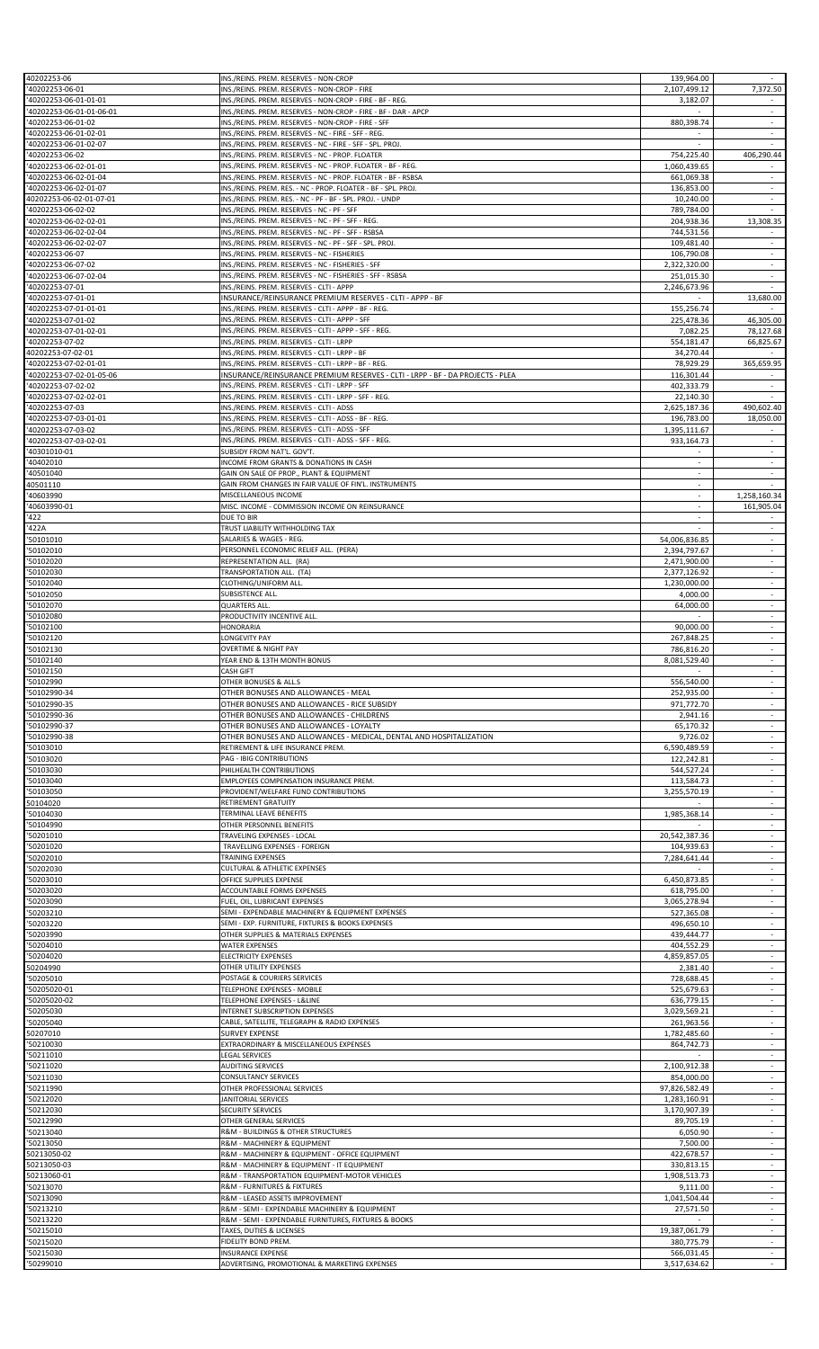| 40202253-06                                            | INS./REINS. PREM. RESERVES - NON-CROP                                          | 139,964.00    |                          |
|--------------------------------------------------------|--------------------------------------------------------------------------------|---------------|--------------------------|
| '40202253-06-01                                        | INS./REINS. PREM. RESERVES - NON-CROP - FIRE                                   | 2,107,499.12  | 7,372.50                 |
| '40202253-06-01-01-01                                  | INS./REINS. PREM. RESERVES - NON-CROP - FIRE - BF - REG.                       | 3,182.07      |                          |
| '40202253-06-01-01-06-01                               | INS./REINS. PREM. RESERVES - NON-CROP - FIRE - BF - DAR - APCP                 |               | ÷                        |
| '40202253-06-01-02                                     | INS./REINS. PREM. RESERVES - NON-CROP - FIRE - SFF                             | 880,398.74    | $\overline{\phantom{a}}$ |
| '40202253-06-01-02-01                                  | INS./REINS. PREM. RESERVES - NC - FIRE - SFF - REG.                            | $\sim$        | $\sim$                   |
| '40202253-06-01-02-07                                  | INS./REINS. PREM. RESERVES - NC - FIRE - SFF - SPL. PROJ.                      |               |                          |
| '40202253-06-02                                        | INS./REINS. PREM. RESERVES - NC - PROP. FLOATER                                | 754,225.40    | 406,290.44               |
|                                                        |                                                                                |               |                          |
| '40202253-06-02-01-01                                  | INS./REINS. PREM. RESERVES - NC - PROP. FLOATER - BF - REG.                    | 1,060,439.65  |                          |
| '40202253-06-02-01-04                                  | INS./REINS. PREM. RESERVES - NC - PROP. FLOATER - BF - RSBSA                   | 661,069.38    | $\sim$                   |
| '40202253-06-02-01-07                                  | INS./REINS. PREM. RES. - NC - PROP. FLOATER - BF - SPL. PROJ                   | 136,853.00    | $\sim$                   |
| 40202253-06-02-01-07-01                                | INS./REINS. PREM. RES. - NC - PF - BF - SPL. PROJ. - UNDP                      | 10,240.00     | $\overline{\phantom{a}}$ |
| '40202253-06-02-02                                     | INS./REINS. PREM. RESERVES - NC - PF - SFF                                     | 789,784.00    | $\sim$                   |
| '40202253-06-02-02-01                                  | INS./REINS. PREM. RESERVES - NC - PF - SFF - REG.                              | 204,938.36    | 13,308.35                |
| '40202253-06-02-02-04                                  | INS./REINS. PREM. RESERVES - NC - PF - SFF - RSBSA                             | 744,531.56    |                          |
| '40202253-06-02-02-07                                  | INS./REINS. PREM. RESERVES - NC - PF - SFF - SPL. PROJ.                        | 109,481.40    | $\overline{\phantom{a}}$ |
| '40202253-06-07                                        | INS./REINS. PREM. RESERVES - NC - FISHERIES                                    | 106,790.08    | $\sim$                   |
|                                                        |                                                                                |               |                          |
| '40202253-06-07-02                                     | INS./REINS. PREM. RESERVES - NC - FISHERIES - SFF                              | 2,322,320.00  |                          |
| '40202253-06-07-02-04                                  | INS./REINS. PREM. RESERVES - NC - FISHERIES - SFF - RSBSA                      | 251,015.30    | ÷                        |
| '40202253-07-01                                        | INS./REINS. PREM. RESERVES - CLTI - APPP                                       | 2,246,673.96  |                          |
| '40202253-07-01-01                                     | INSURANCE/REINSURANCE PREMIUM RESERVES - CLTI - APPP - BF                      | $\sim$        | 13,680.00                |
| '40202253-07-01-01-01                                  | INS./REINS. PREM. RESERVES - CLTI - APPP - BF - REG.                           | 155,256.74    |                          |
| '40202253-07-01-02                                     | INS./REINS. PREM. RESERVES - CLTI - APPP - SFF                                 | 225,478.36    | 46,305.00                |
| '40202253-07-01-02-01                                  | INS./REINS. PREM. RESERVES - CLTI - APPP - SFF - REG.                          | 7,082.25      | 78,127.68                |
| '40202253-07-02                                        | INS./REINS. PREM. RESERVES - CLTI - LRPP                                       | 554,181.47    | 66,825.67                |
| 40202253-07-02-01                                      | INS./REINS. PREM. RESERVES - CLTI - LRPP - BF                                  | 34,270.44     |                          |
|                                                        |                                                                                |               |                          |
| '40202253-07-02-01-01                                  | INS./REINS. PREM. RESERVES - CLTI - LRPP - BF - REG.                           | 78,929.29     | 365,659.95               |
| '40202253-07-02-01-05-06                               | INSURANCE/REINSURANCE PREMIUM RESERVES - CLTI - LRPP - BF - DA PROJECTS - PLEA | 116,301.44    |                          |
| '40202253-07-02-02                                     | INS./REINS. PREM. RESERVES - CLTI - LRPP - SFF                                 | 402,333.79    | $\overline{\phantom{a}}$ |
| '40202253-07-02-02-01                                  | INS./REINS. PREM. RESERVES - CLTI - LRPP - SFF - REG.                          | 22,140.30     |                          |
| '40202253-07-03                                        | INS./REINS. PREM. RESERVES - CLTI - ADSS                                       | 2,625,187.36  | 490,602.40               |
| '40202253-07-03-01-01                                  | INS./REINS. PREM. RESERVES - CLTI - ADSS - BF - REG.                           | 196,783.00    | 18,050.00                |
| '40202253-07-03-02                                     | INS./REINS. PREM. RESERVES - CLTI - ADSS - SFF                                 | 1,395,111.67  |                          |
| '40202253-07-03-02-01                                  | INS./REINS. PREM. RESERVES - CLTI - ADSS - SFF - REG.                          | 933,164.73    | $\sim$                   |
|                                                        |                                                                                |               |                          |
| '40301010-01                                           | SUBSIDY FROM NAT'L. GOV'T.                                                     |               |                          |
| '40402010                                              | INCOME FROM GRANTS & DONATIONS IN CASH                                         | $\sim$        | $\sim$                   |
| '40501040                                              | GAIN ON SALE OF PROP., PLANT & EQUIPMENT                                       |               |                          |
| 40501110                                               | GAIN FROM CHANGES IN FAIR VALUE OF FIN'L. INSTRUMENTS                          | $\sim$        |                          |
| '40603990                                              | MISCELLANEOUS INCOME                                                           | $\sim$        | 1,258,160.34             |
| '40603990-01                                           | MISC. INCOME - COMMISSION INCOME ON REINSURANCE                                |               | 161,905.04               |
| '422                                                   | DUE TO BIR                                                                     | ÷.            |                          |
| '422A                                                  | TRUST LIABILITY WITHHOLDING TAX                                                |               | ÷                        |
|                                                        |                                                                                |               |                          |
| '50101010                                              | SALARIES & WAGES - REG.                                                        | 54,006,836.85 | $\overline{\phantom{a}}$ |
| '50102010                                              | PERSONNEL ECONOMIC RELIEF ALL. (PERA)                                          | 2,394,797.67  | $\overline{\phantom{a}}$ |
| '50102020                                              | REPRESENTATION ALL. (RA)                                                       | 2,471,900.00  | $\omega$                 |
| '50102030                                              | TRANSPORTATION ALL. (TA)                                                       | 2,377,126.92  | $\overline{\phantom{a}}$ |
| '50102040                                              | CLOTHING/UNIFORM ALL.                                                          | 1,230,000.00  | $\sim$                   |
| '50102050                                              | SUBSISTENCE ALL                                                                | 4,000.00      |                          |
| '50102070                                              | <b>QUARTERS ALL.</b>                                                           | 64,000.00     | ÷                        |
| '50102080                                              | PRODUCTIVITY INCENTIVE ALL.                                                    |               | $\overline{\phantom{a}}$ |
|                                                        | <b>HONORARIA</b>                                                               |               | $\sim$                   |
| 50102100                                               |                                                                                | 90,000.00     |                          |
| '50102120                                              | LONGEVITY PAY                                                                  | 267,848.25    |                          |
| 50102130                                               | <b>OVERTIME &amp; NIGHT PAY</b>                                                | 786,816.20    | $\overline{\phantom{a}}$ |
| 50102140                                               | YEAR END & 13TH MONTH BONUS                                                    | 8,081,529.40  | $\overline{\phantom{a}}$ |
| '50102150                                              | CASH GIFT                                                                      |               |                          |
|                                                        |                                                                                |               |                          |
| '50102990                                              | OTHER BONUSES & ALL.S                                                          | 556,540.00    |                          |
|                                                        |                                                                                |               | $\sim$                   |
| '50102990-34                                           | OTHER BONUSES AND ALLOWANCES - MEAL                                            | 252,935.00    |                          |
| '50102990-35                                           | OTHER BONUSES AND ALLOWANCES - RICE SUBSIDY                                    | 971,772.70    | $\overline{\phantom{a}}$ |
| '50102990-36                                           | OTHER BONUSES AND ALLOWANCES - CHILDRENS                                       | 2,941.16      | $\overline{\phantom{a}}$ |
| '50102990-37                                           | OTHER BONUSES AND ALLOWANCES - LOYALTY                                         | 65,170.32     | $\overline{\phantom{a}}$ |
| '50102990-38                                           | OTHER BONUSES AND ALLOWANCES - MEDICAL, DENTAL AND HOSPITALIZATION             | 9,726.02      | $\overline{\phantom{a}}$ |
| '50103010                                              | RETIREMENT & LIFE INSURANCE PREM.                                              | 6,590,489.59  | $\sim$                   |
| '50103020                                              | PAG - IBIG CONTRIBUTIONS                                                       | 122,242.81    |                          |
| '50103030                                              | PHILHEALTH CONTRIBUTIONS                                                       | 544,527.24    | ÷                        |
| '50103040                                              | EMPLOYEES COMPENSATION INSURANCE PREM.                                         | 113,584.73    | $\overline{\phantom{a}}$ |
|                                                        | PROVIDENT/WELFARE FUND CONTRIBUTIONS                                           |               | $\sim$                   |
| '50103050                                              |                                                                                | 3,255,570.19  |                          |
| 50104020                                               | RETIREMENT GRATUITY                                                            |               |                          |
| '50104030                                              | TERMINAL LEAVE BENEFITS                                                        | 1,985,368.14  | ÷                        |
| '50104990                                              | OTHER PERSONNEL BENEFITS                                                       |               |                          |
| '50201010                                              | TRAVELING EXPENSES - LOCAL                                                     | 20,542,387.36 | $\overline{\phantom{a}}$ |
| '50201020                                              | TRAVELLING EXPENSES - FOREIGN                                                  | 104,939.63    | ÷                        |
| '50202010                                              | TRAINING EXPENSES                                                              | 7,284,641.44  | ÷                        |
| '50202030                                              | <b>CULTURAL &amp; ATHLETIC EXPENSES</b>                                        |               | $\sim$                   |
| '50203010                                              | OFFICE SUPPLIES EXPENSE                                                        | 6,450,873.85  | $\overline{\phantom{a}}$ |
| '50203020                                              | ACCOUNTABLE FORMS EXPENSES                                                     | 618,795.00    | $\overline{\phantom{a}}$ |
|                                                        |                                                                                |               | $\overline{\phantom{a}}$ |
| '50203090                                              | FUEL, OIL, LUBRICANT EXPENSES                                                  | 3,065,278.94  | $\sim$                   |
| '50203210                                              | SEMI - EXPENDABLE MACHINERY & EQUIPMENT EXPENSES                               | 527,365.08    |                          |
| '50203220                                              | SEMI - EXP. FURNITURE, FIXTURES & BOOKS EXPENSES                               | 496,650.10    |                          |
| '50203990                                              | OTHER SUPPLIES & MATERIALS EXPENSES                                            | 439,444.77    | ÷                        |
| '50204010                                              | <b>WATER EXPENSES</b>                                                          | 404,552.29    |                          |
| '50204020                                              | <b>ELECTRICITY EXPENSES</b>                                                    | 4,859,857.05  | $\sim$                   |
| 50204990                                               | OTHER UTILITY EXPENSES                                                         | 2,381.40      |                          |
| '50205010                                              | POSTAGE & COURIERS SERVICES                                                    | 728,688.45    | ÷                        |
| '50205020-01                                           | TELEPHONE EXPENSES - MOBILE                                                    | 525,679.63    | $\overline{\phantom{a}}$ |
| '50205020-02                                           | TELEPHONE EXPENSES - L&LINE                                                    | 636,779.15    | $\overline{\phantom{a}}$ |
|                                                        | INTERNET SUBSCRIPTION EXPENSES                                                 | 3,029,569.21  | $\overline{\phantom{a}}$ |
| '50205030                                              |                                                                                |               | $\sim$                   |
| '50205040                                              | CABLE, SATELLITE, TELEGRAPH & RADIO EXPENSES                                   | 261,963.56    |                          |
| 50207010                                               | <b>SURVEY EXPENSE</b>                                                          | 1,782,485.60  | $\overline{\phantom{a}}$ |
| '50210030                                              | EXTRAORDINARY & MISCELLANEOUS EXPENSES                                         | 864,742.73    | $\overline{\phantom{a}}$ |
| '50211010                                              | <b>LEGAL SERVICES</b>                                                          |               | $\sim$                   |
| '50211020                                              | <b>AUDITING SERVICES</b>                                                       | 2,100,912.38  | ÷                        |
| '50211030                                              | CONSULTANCY SERVICES                                                           | 854,000.00    | $\sim$                   |
| '50211990                                              | OTHER PROFESSIONAL SERVICES                                                    | 97,826,582.49 |                          |
|                                                        |                                                                                |               | ÷                        |
| '50212020                                              | JANITORIAL SERVICES                                                            | 1,283,160.91  |                          |
| '50212030                                              | SECURITY SERVICES                                                              | 3,170,907.39  | $\overline{\phantom{a}}$ |
| '50212990                                              | OTHER GENERAL SERVICES                                                         | 89,705.19     | $\sim$                   |
| '50213040                                              | R&M - BUILDINGS & OTHER STRUCTURES                                             | 6,050.90      |                          |
| '50213050                                              | R&M - MACHINERY & EQUIPMENT                                                    | 7,500.00      | ÷                        |
|                                                        | R&M - MACHINERY & EQUIPMENT - OFFICE EQUIPMENT                                 | 422,678.57    | $\overline{\phantom{a}}$ |
|                                                        | R&M - MACHINERY & EQUIPMENT - IT EQUIPMENT                                     | 330.813.15    | $\sim$                   |
|                                                        |                                                                                |               | $\sim$                   |
|                                                        | R&M - TRANSPORTATION EQUIPMENT-MOTOR VEHICLES                                  | 1,908,513.73  |                          |
| '50213070                                              | R&M - FURNITURES & FIXTURES                                                    | 9,111.00      | $\overline{\phantom{a}}$ |
| '50213090                                              | R&M - LEASED ASSETS IMPROVEMENT                                                | 1,041,504.44  | $\sim$                   |
| '50213210                                              | R&M - SEMI - EXPENDABLE MACHINERY & EQUIPMENT                                  | 27,571.50     | $\overline{\phantom{a}}$ |
| 50213050-02<br>50213050-03<br>50213060-01<br>'50213220 | R&M - SEMI - EXPENDABLE FURNITURES, FIXTURES & BOOKS                           |               | ÷                        |
| '50215010                                              | TAXES, DUTIES & LICENSES                                                       | 19,387,061.79 | $\sim$                   |
| '50215020                                              | FIDELITY BOND PREM.                                                            | 380,775.79    | $\sim$                   |
| '50215030                                              | <b>INSURANCE EXPENSE</b>                                                       | 566,031.45    | $\blacksquare$           |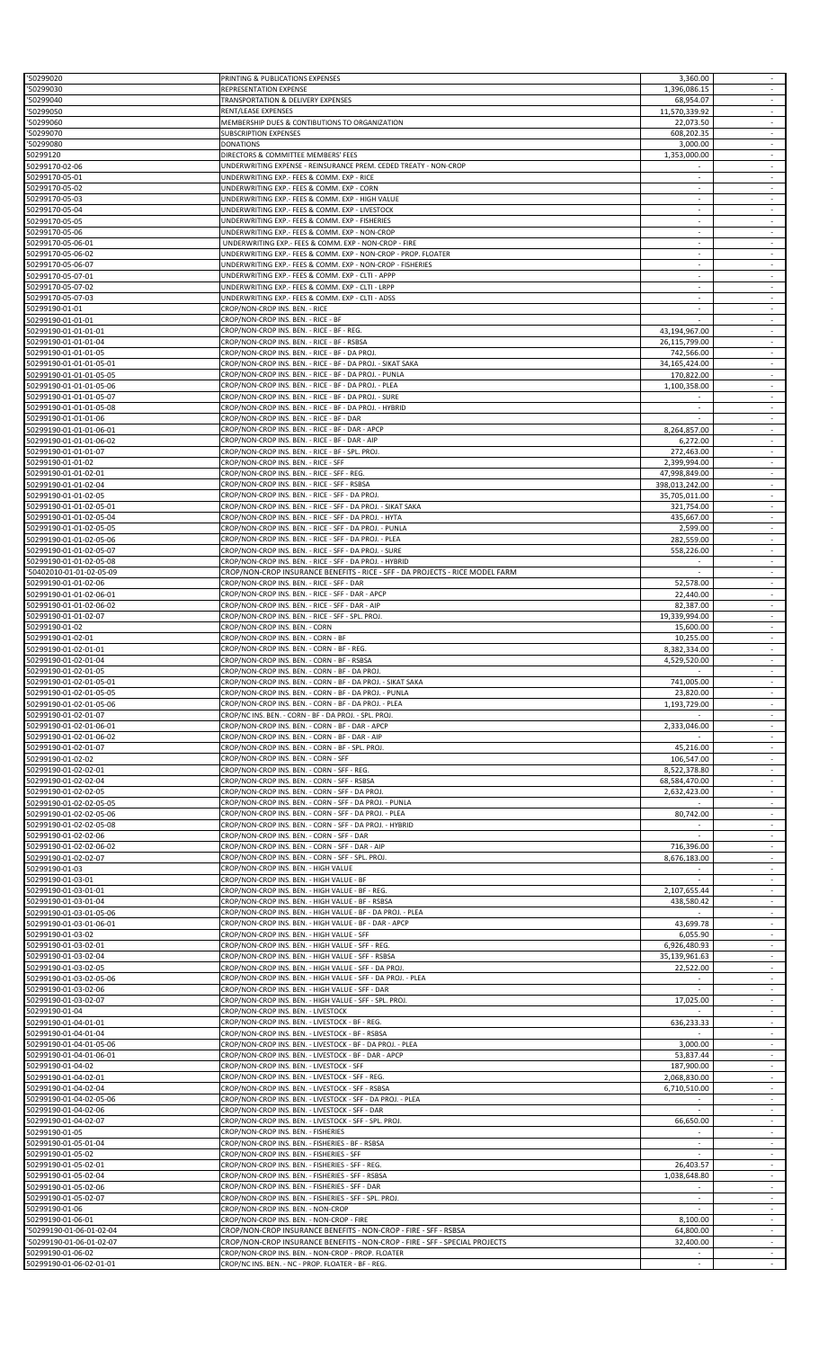| '50299020                                          | PRINTING & PUBLICATIONS EXPENSES                                                                                        | 3,360.00                        |                                                         |
|----------------------------------------------------|-------------------------------------------------------------------------------------------------------------------------|---------------------------------|---------------------------------------------------------|
| 50299030<br>50299040                               | REPRESENTATION EXPENSE<br>TRANSPORTATION & DELIVERY EXPENSES                                                            | 1,396,086.15<br>68,954.07       | ÷<br>$\sim$                                             |
| 50299050                                           | RENT/LEASE EXPENSES                                                                                                     | 11,570,339.92                   | $\overline{\phantom{a}}$                                |
| '50299060<br>50299070                              | MEMBERSHIP DUES & CONTIBUTIONS TO ORGANIZATION<br><b>SUBSCRIPTION EXPENSES</b>                                          | 22,073.50<br>608,202.35         | $\overline{\phantom{a}}$<br>$\overline{\phantom{a}}$    |
| 50299080                                           | <b>DONATIONS</b>                                                                                                        | 3,000.00                        | $\sim$                                                  |
| 50299120                                           | DIRECTORS & COMMITTEE MEMBERS' FEES                                                                                     | 1,353,000.00                    | ÷                                                       |
| 50299170-02-06<br>50299170-05-01                   | UNDERWRITING EXPENSE - REINSURANCE PREM. CEDED TREATY - NON-CROP<br>UNDERWRITING EXP.- FEES & COMM. EXP - RICE          |                                 |                                                         |
| 50299170-05-02                                     | UNDERWRITING EXP.- FEES & COMM. EXP - CORN                                                                              | $\sim$                          | $\sim$                                                  |
| 50299170-05-03<br>50299170-05-04                   | UNDERWRITING EXP.- FEES & COMM. EXP - HIGH VALUE<br>UNDERWRITING EXP.- FEES & COMM. EXP - LIVESTOCK                     | ×.                              | ÷                                                       |
| 50299170-05-05                                     | UNDERWRITING EXP.- FEES & COMM. EXP - FISHERIES                                                                         | $\overline{\phantom{a}}$        | $\overline{\phantom{a}}$                                |
| 50299170-05-06                                     | UNDERWRITING EXP.- FEES & COMM. EXP - NON-CROP                                                                          | ÷.                              | $\overline{\phantom{a}}$<br>$\overline{\phantom{a}}$    |
| 50299170-05-06-01<br>50299170-05-06-02             | UNDERWRITING EXP.- FEES & COMM. EXP - NON-CROP - FIRE<br>UNDERWRITING EXP.- FEES & COMM. EXP - NON-CROP - PROP. FLOATER | $\sim$                          | $\overline{\phantom{a}}$                                |
| 50299170-05-06-07                                  | UNDERWRITING EXP.- FEES & COMM. EXP - NON-CROP - FISHERIES                                                              | $\sim$                          | $\overline{\phantom{a}}$                                |
| 50299170-05-07-01<br>50299170-05-07-02             | UNDERWRITING EXP.- FEES & COMM. EXP - CLTI - APPP<br>UNDERWRITING EXP.- FEES & COMM. EXP - CLTI - LRPP                  |                                 | $\overline{\phantom{a}}$<br>$\sim$                      |
| 50299170-05-07-03                                  | UNDERWRITING EXP.- FEES & COMM. EXP - CLTI - ADSS                                                                       | ×.                              | ÷                                                       |
| 50299190-01-01                                     | CROP/NON-CROP INS. BEN. - RICE                                                                                          | $\sim$                          | $\sim$                                                  |
| 50299190-01-01-01<br>50299190-01-01-01-01          | CROP/NON-CROP INS. BEN. - RICE - BF<br>CROP/NON-CROP INS. BEN. - RICE - BF - REG.                                       | 43,194,967.00                   | ÷,<br>÷                                                 |
| 50299190-01-01-01-04                               | CROP/NON-CROP INS. BEN. - RICE - BF - RSBSA                                                                             | 26,115,799.00                   | $\overline{\phantom{a}}$                                |
| 50299190-01-01-01-05                               | CROP/NON-CROP INS. BEN. - RICE - BF - DA PROJ.                                                                          | 742,566.00                      | $\sim$                                                  |
| 50299190-01-01-01-05-01<br>50299190-01-01-01-05-05 | CROP/NON-CROP INS. BEN. - RICE - BF - DA PROJ. - SIKAT SAKA<br>CROP/NON-CROP INS. BEN. - RICE - BF - DA PROJ. - PUNLA   | 34,165,424.00<br>170,822.00     | $\omega$                                                |
| 50299190-01-01-01-05-06                            | CROP/NON-CROP INS. BEN. - RICE - BF - DA PROJ. - PLEA                                                                   | 1,100,358.00                    | $\overline{\phantom{a}}$                                |
| 50299190-01-01-01-05-07<br>50299190-01-01-01-05-08 | CROP/NON-CROP INS. BEN. - RICE - BF - DA PROJ. - SURE<br>CROP/NON-CROP INS. BEN. - RICE - BF - DA PROJ. - HYBRID        |                                 | $\sim$                                                  |
| 50299190-01-01-01-06                               | CROP/NON-CROP INS. BEN. - RICE - BF - DAR                                                                               |                                 | $\overline{\phantom{a}}$                                |
| 50299190-01-01-01-06-01                            | CROP/NON-CROP INS. BEN. - RICE - BF - DAR - APCP                                                                        | 8,264,857.00                    | $\sim$                                                  |
| 50299190-01-01-01-06-02<br>50299190-01-01-01-07    | CROP/NON-CROP INS. BEN. - RICE - BF - DAR - AIP<br>CROP/NON-CROP INS. BEN. - RICE - BF - SPL. PROJ.                     | 6,272.00<br>272,463.00          | $\blacksquare$<br>$\overline{\phantom{a}}$              |
| 50299190-01-01-02                                  | CROP/NON-CROP INS. BEN. - RICE - SFF                                                                                    | 2,399,994.00                    | $\sim$                                                  |
| 50299190-01-01-02-01<br>50299190-01-01-02-04       | CROP/NON-CROP INS. BEN. - RICE - SFF - REG.<br>CROP/NON-CROP INS. BEN. - RICE - SFF - RSBSA                             | 47,998,849.00<br>398,013,242.00 | $\sim$<br>$\blacksquare$                                |
| 50299190-01-01-02-05                               | CROP/NON-CROP INS. BEN. - RICE - SFF - DA PROJ.                                                                         | 35,705,011.00                   | $\omega$                                                |
| 50299190-01-01-02-05-01                            | CROP/NON-CROP INS. BEN. - RICE - SFF - DA PROJ. - SIKAT SAKA                                                            | 321,754.00                      | $\overline{\phantom{a}}$                                |
| 50299190-01-01-02-05-04<br>50299190-01-01-02-05-05 | CROP/NON-CROP INS. BEN. - RICE - SFF - DA PROJ. - HYTA<br>CROP/NON-CROP INS. BEN. - RICE - SFF - DA PROJ. - PUNLA       | 435,667.00<br>2,599.00          | $\sim$                                                  |
| 50299190-01-01-02-05-06                            | CROP/NON-CROP INS. BEN. - RICE - SFF - DA PROJ. - PLEA                                                                  | 282,559.00                      | ÷                                                       |
| 50299190-01-01-02-05-07<br>50299190-01-01-02-05-08 | CROP/NON-CROP INS. BEN. - RICE - SFF - DA PROJ. - SURE<br>CROP/NON-CROP INS. BEN. - RICE - SFF - DA PROJ. - HYBRID      | 558,226.00                      | $\overline{\phantom{a}}$<br>$\overline{\phantom{a}}$    |
| '50402010-01-01-02-05-09                           | CROP/NON-CROP INSURANCE BENEFITS - RICE - SFF - DA PROJECTS - RICE MODEL FARM                                           |                                 | ÷                                                       |
| 50299190-01-01-02-06                               | CROP/NON-CROP INS. BEN. - RICE - SFF - DAR                                                                              | 52,578.00                       | $\sim$                                                  |
| 50299190-01-01-02-06-01<br>50299190-01-01-02-06-02 | CROP/NON-CROP INS. BEN. - RICE - SFF - DAR - APCP<br>CROP/NON-CROP INS. BEN. - RICE - SFF - DAR - AIP                   | 22,440.00<br>82,387.00          | $\sim$<br>$\overline{\phantom{a}}$                      |
| 50299190-01-01-02-07                               | CROP/NON-CROP INS. BEN. - RICE - SFF - SPL. PROJ.                                                                       | 19,339,994.00                   | $\omega$                                                |
| 50299190-01-02                                     | CROP/NON-CROP INS. BEN. - CORN<br>CROP/NON-CROP INS. BEN. - CORN - BF                                                   | 15,600.00                       | ÷                                                       |
| 50299190-01-02-01<br>50299190-01-02-01-01          | CROP/NON-CROP INS. BEN. - CORN - BF - REG.                                                                              | 10,255.00<br>8,382,334.00       | $\sim$                                                  |
| 50299190-01-02-01-04                               | CROP/NON-CROP INS. BEN. - CORN - BF - RSBSA                                                                             | 4,529,520.00                    | $\omega$                                                |
| 50299190-01-02-01-05<br>50299190-01-02-01-05-01    | CROP/NON-CROP INS. BEN. - CORN - BF - DA PROJ.<br>CROP/NON-CROP INS. BEN. - CORN - BF - DA PROJ. - SIKAT SAKA           | 741,005.00                      |                                                         |
| 50299190-01-02-01-05-05                            | CROP/NON-CROP INS. BEN. - CORN - BF - DA PROJ. - PUNLA                                                                  | 23,820.00                       |                                                         |
| 50299190-01-02-01-05-06                            | CROP/NON-CROP INS. BEN. - CORN - BF - DA PROJ. - PLEA                                                                   | 1,193,729.00                    | ÷                                                       |
| 50299190-01-02-01-07<br>50299190-01-02-01-06-01    | CROP/NC INS. BEN. - CORN - BF - DA PROJ. - SPL. PROJ.<br>CROP/NON-CROP INS. BEN. - CORN - BF - DAR - APCP               | 2,333,046.00                    | $\overline{\phantom{a}}$<br>$\mathcal{L}_{\mathcal{A}}$ |
| 50299190-01-02-01-06-02                            | CROP/NON-CROP INS. BEN. - CORN - BF - DAR - AIP                                                                         |                                 |                                                         |
| 50299190-01-02-01-07<br>50299190-01-02-02          | CROP/NON-CROP INS. BEN. - CORN - BF - SPL. PROJ.<br>CROP/NON-CROP INS. BEN. - CORN - SFF                                | 45,216.00<br>106,547.00         | $\overline{\phantom{a}}$<br>$\overline{\phantom{a}}$    |
| 50299190-01-02-02-01                               | CROP/NON-CROP INS. BEN. - CORN - SFF - REG.                                                                             | 8,522,378.80                    | $\blacksquare$                                          |
| 50299190-01-02-02-04                               | CROP/NON-CROP INS. BEN. - CORN - SFF - RSBSA                                                                            | 68,584,470.00                   | ÷,                                                      |
| 50299190-01-02-02-05<br>50299190-01-02-02-05-05    | CROP/NON-CROP INS. BEN. - CORN - SFF - DA PROJ.<br>CROP/NON-CROP INS. BEN. - CORN - SFF - DA PROJ. - PUNLA              | 2,632,423.00                    | $\overline{\phantom{a}}$<br>$\overline{\phantom{a}}$    |
| 50299190-01-02-02-05-06                            | CROP/NON-CROP INS. BEN. - CORN - SFF - DA PROJ. - PLEA                                                                  | 80,742.00                       | $\overline{\phantom{a}}$                                |
| 50299190-01-02-02-05-08                            | CROP/NON-CROP INS. BEN. - CORN - SFF - DA PROJ. - HYBRID                                                                |                                 | $\overline{\phantom{a}}$                                |
| 50299190-01-02-02-06<br>50299190-01-02-02-06-02    | CROP/NON-CROP INS. BEN. - CORN - SFF - DAR<br>CROP/NON-CROP INS. BEN. - CORN - SFF - DAR - AIP                          | 716,396.00                      | $\overline{\phantom{a}}$<br>$\sim$                      |
| 50299190-01-02-02-07                               | CROP/NON-CROP INS. BEN. - CORN - SFF - SPL. PROJ.                                                                       | 8,676,183.00                    |                                                         |
| 50299190-01-03<br>50299190-01-03-01                | CROP/NON-CROP INS. BEN. - HIGH VALUE<br>CROP/NON-CROP INS. BEN. - HIGH VALUE - BF                                       |                                 | ÷<br>$\sim$                                             |
| 50299190-01-03-01-01                               | CROP/NON-CROP INS. BEN. - HIGH VALUE - BF - REG.                                                                        | 2,107,655.44                    | $\sim$                                                  |
| 50299190-01-03-01-04                               | CROP/NON-CROP INS. BEN. - HIGH VALUE - BF - RSBSA                                                                       | 438,580.42                      | $\blacksquare$                                          |
| 50299190-01-03-01-05-06<br>50299190-01-03-01-06-01 | CROP/NON-CROP INS. BEN. - HIGH VALUE - BF - DA PROJ. - PLEA<br>CROP/NON-CROP INS. BEN. - HIGH VALUE - BF - DAR - APCP   | 43,699.78                       | $\sim$<br>$\overline{\phantom{a}}$                      |
| 50299190-01-03-02                                  | CROP/NON-CROP INS. BEN. - HIGH VALUE - SFF                                                                              | 6,055.90                        | $\overline{\phantom{a}}$                                |
| 50299190-01-03-02-01<br>50299190-01-03-02-04       | CROP/NON-CROP INS. BEN. - HIGH VALUE - SFF - REG.<br>CROP/NON-CROP INS. BEN. - HIGH VALUE - SFF - RSBSA                 | 6,926,480.93<br>35,139,961.63   | $\omega$<br>$\overline{\phantom{a}}$                    |
| 50299190-01-03-02-05                               | CROP/NON-CROP INS. BEN. - HIGH VALUE - SFF - DA PROJ.                                                                   | 22,522.00                       | $\overline{\phantom{a}}$                                |
| 50299190-01-03-02-05-06                            | CROP/NON-CROP INS. BEN. - HIGH VALUE - SFF - DA PROJ. - PLEA                                                            |                                 | $\overline{\phantom{a}}$                                |
| 50299190-01-03-02-06<br>50299190-01-03-02-07       | CROP/NON-CROP INS. BEN. - HIGH VALUE - SFF - DAR<br>CROP/NON-CROP INS. BEN. - HIGH VALUE - SFF - SPL. PROJ.             | 17,025.00                       | $\omega$<br>$\overline{\phantom{a}}$                    |
| 50299190-01-04                                     | CROP/NON-CROP INS. BEN. - LIVESTOCK                                                                                     |                                 | $\sim$                                                  |
| 50299190-01-04-01-01<br>50299190-01-04-01-04       | CROP/NON-CROP INS. BEN. - LIVESTOCK - BF - REG.<br>CROP/NON-CROP INS. BEN. - LIVESTOCK - BF - RSBSA                     | 636,233.33                      | ÷                                                       |
| 50299190-01-04-01-05-06                            | CROP/NON-CROP INS. BEN. - LIVESTOCK - BF - DA PROJ. - PLEA                                                              | 3,000.00                        |                                                         |
| 50299190-01-04-01-06-01                            | CROP/NON-CROP INS. BEN. - LIVESTOCK - BF - DAR - APCP                                                                   | 53,837.44                       | $\sim$                                                  |
| 50299190-01-04-02<br>50299190-01-04-02-01          | CROP/NON-CROP INS. BEN. - LIVESTOCK - SFF<br>CROP/NON-CROP INS. BEN. - LIVESTOCK - SFF - REG.                           | 187,900.00<br>2,068,830.00      | $\overline{\phantom{a}}$                                |
| 50299190-01-04-02-04                               | CROP/NON-CROP INS. BEN. - LIVESTOCK - SFF - RSBSA                                                                       | 6,710,510.00                    | $\sim$                                                  |
| 50299190-01-04-02-05-06                            | CROP/NON-CROP INS. BEN. - LIVESTOCK - SFF - DA PROJ. - PLEA<br>CROP/NON-CROP INS. BEN. - LIVESTOCK - SFF - DAR          |                                 | $\overline{\phantom{a}}$<br>$\overline{\phantom{a}}$    |
| 50299190-01-04-02-06<br>50299190-01-04-02-07       | CROP/NON-CROP INS. BEN. - LIVESTOCK - SFF - SPL. PROJ.                                                                  | 66,650.00                       | $\sim$                                                  |
| 50299190-01-05                                     | CROP/NON-CROP INS. BEN. - FISHERIES                                                                                     |                                 | $\overline{\phantom{a}}$                                |
| 50299190-01-05-01-04<br>50299190-01-05-02          | CROP/NON-CROP INS. BEN. - FISHERIES - BF - RSBSA<br>CROP/NON-CROP INS. BEN. - FISHERIES - SFF                           |                                 | $\overline{\phantom{a}}$<br>$\blacksquare$              |
| 50299190-01-05-02-01                               | CROP/NON-CROP INS. BEN. - FISHERIES - SFF - REG.                                                                        | 26,403.57                       | $\overline{\phantom{a}}$                                |
| 50299190-01-05-02-04                               | CROP/NON-CROP INS. BEN. - FISHERIES - SFF - RSBSA                                                                       | 1,038,648.80                    | $\sim$                                                  |
| 50299190-01-05-02-06<br>50299190-01-05-02-07       | CROP/NON-CROP INS. BEN. - FISHERIES - SFF - DAR<br>CROP/NON-CROP INS. BEN. - FISHERIES - SFF - SPL. PROJ.               | ×.                              | ÷                                                       |
| 50299190-01-06                                     | CROP/NON-CROP INS. BEN. - NON-CROP                                                                                      |                                 | $\overline{\phantom{a}}$                                |
| 50299190-01-06-01<br>'50299190-01-06-01-02-04      | CROP/NON-CROP INS. BEN. - NON-CROP - FIRE<br>CROP/NON-CROP INSURANCE BENEFITS - NON-CROP - FIRE - SFF - RSBSA           | 8,100.00                        | ÷                                                       |
| '50299190-01-06-01-02-07                           | CROP/NON-CROP INSURANCE BENEFITS - NON-CROP - FIRE - SFF - SPECIAL PROJECTS                                             | 64,800.00<br>32,400.00          | $\overline{\phantom{a}}$                                |
| 50299190-01-06-02                                  | CROP/NON-CROP INS. BEN. - NON-CROP - PROP. FLOATER                                                                      |                                 | $\overline{\phantom{a}}$                                |
| 50299190-01-06-02-01-01                            | CROP/NC INS. BEN. - NC - PROP. FLOATER - BF - REG.                                                                      |                                 |                                                         |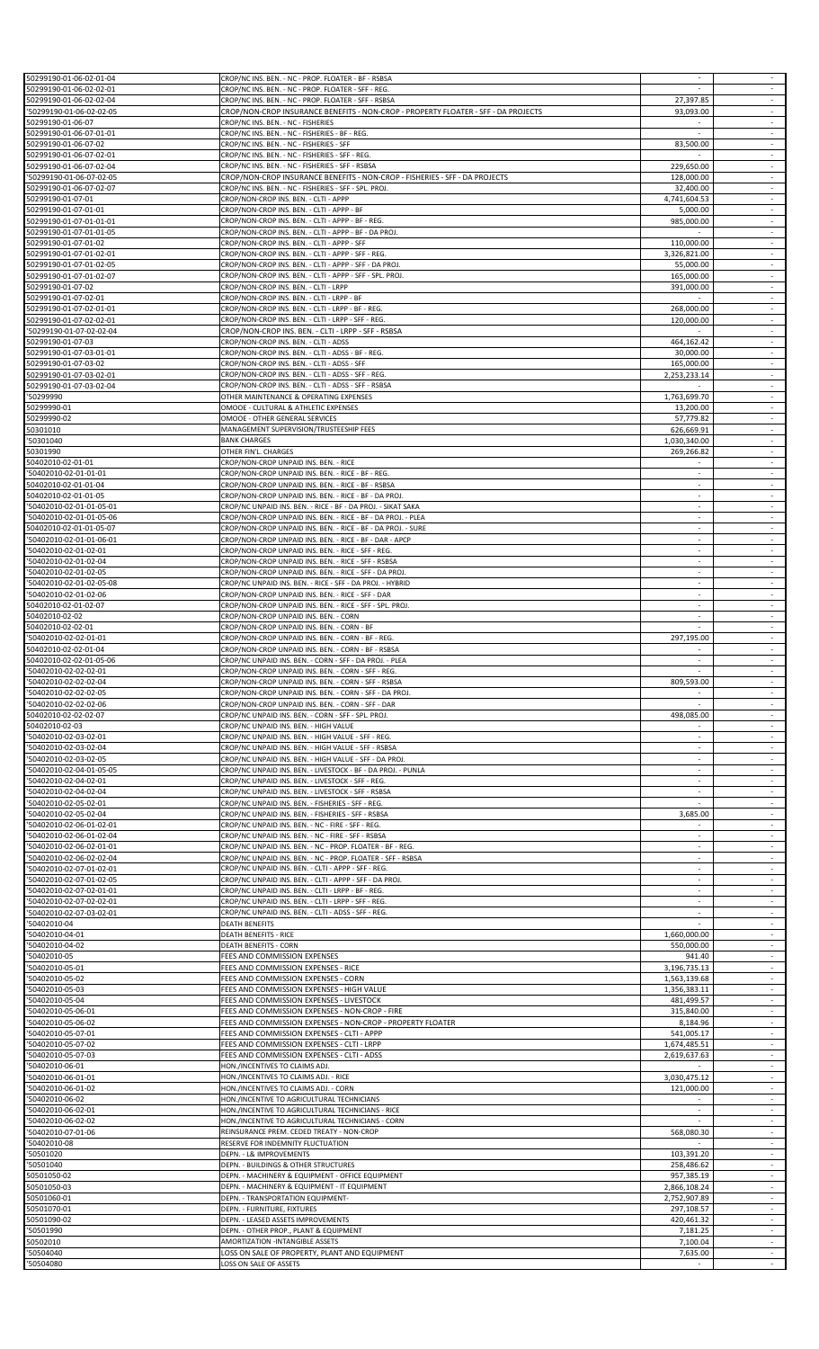| 50299190-01-06-02-01-04  | CROP/NC INS. BEN. - NC - PROP. FLOATER - BF - RSBSA                                |                          |                          |
|--------------------------|------------------------------------------------------------------------------------|--------------------------|--------------------------|
| 50299190-01-06-02-02-01  | CROP/NC INS. BEN. - NC - PROP. FLOATER - SFF - REG.                                | $\sim$                   | $\overline{\phantom{a}}$ |
| 50299190-01-06-02-02-04  | CROP/NC INS. BEN. - NC - PROP. FLOATER - SFF - RSBSA                               | 27,397.85                |                          |
| '50299190-01-06-02-02-05 | CROP/NON-CROP INSURANCE BENEFITS - NON-CROP - PROPERTY FLOATER - SFF - DA PROJECTS | 93,093.00                | ÷                        |
|                          | CROP/NC INS. BEN. - NC - FISHERIES                                                 |                          | $\overline{\phantom{a}}$ |
| 50299190-01-06-07        |                                                                                    |                          | $\sim$                   |
| 50299190-01-06-07-01-01  | CROP/NC INS. BEN. - NC - FISHERIES - BF - REG.                                     |                          | $\overline{\phantom{a}}$ |
| 50299190-01-06-07-02     | CROP/NC INS. BEN. - NC - FISHERIES - SFF                                           | 83,500.00                |                          |
| 50299190-01-06-07-02-01  | CROP/NC INS. BEN. - NC - FISHERIES - SFF - REG.                                    |                          | $\sim$                   |
| 50299190-01-06-07-02-04  | CROP/NC INS. BEN. - NC - FISHERIES - SFF - RSBSA                                   | 229,650.00               | $\sim$                   |
| '50299190-01-06-07-02-05 | CROP/NON-CROP INSURANCE BENEFITS - NON-CROP - FISHERIES - SFF - DA PROJECTS        | 128,000.00               | $\overline{\phantom{a}}$ |
| 50299190-01-06-07-02-07  | CROP/NC INS. BEN. - NC - FISHERIES - SFF - SPL. PROJ.                              | 32,400.00                | $\omega$                 |
| 50299190-01-07-01        | CROP/NON-CROP INS. BEN. - CLTI - APPP                                              | 4,741,604.53             | $\overline{\phantom{a}}$ |
| 50299190-01-07-01-01     | CROP/NON-CROP INS. BEN. - CLTI - APPP - BF                                         | 5.000.00                 | $\sim$                   |
| 50299190-01-07-01-01-01  | CROP/NON-CROP INS. BEN. - CLTI - APPP - BF - REG.                                  | 985,000.00               | $\overline{\phantom{a}}$ |
| 50299190-01-07-01-01-05  | CROP/NON-CROP INS. BEN. - CLTI - APPP - BF - DA PROJ.                              |                          | $\omega$                 |
|                          |                                                                                    | 110,000.00               | $\sim$                   |
| 50299190-01-07-01-02     | CROP/NON-CROP INS. BEN. - CLTI - APPP - SFF                                        |                          |                          |
| 50299190-01-07-01-02-01  | CROP/NON-CROP INS. BEN. - CLTI - APPP - SFF - REG.                                 | 3,326,821.00             | $\sim$                   |
| 50299190-01-07-01-02-05  | CROP/NON-CROP INS. BEN. - CLTI - APPP - SFF - DA PROJ                              | 55,000.00                |                          |
| 50299190-01-07-01-02-07  | CROP/NON-CROP INS. BEN. - CLTI - APPP - SFF - SPL. PROJ.                           | 165,000.00               | $\sim$                   |
| 50299190-01-07-02        | CROP/NON-CROP INS. BEN. - CLTI - LRPP                                              | 391,000.00               | $\overline{\phantom{a}}$ |
| 50299190-01-07-02-01     | CROP/NON-CROP INS. BEN. - CLTI - LRPP - BF                                         | $\sim$                   | $\sim$                   |
| 50299190-01-07-02-01-01  | CROP/NON-CROP INS. BEN. - CLTI - LRPP - BF - REG.                                  | 268,000.00               |                          |
| 50299190-01-07-02-02-01  | CROP/NON-CROP INS. BEN. - CLTI - LRPP - SFF - REG.                                 | 120,000.00               | $\overline{\phantom{a}}$ |
| '50299190-01-07-02-02-04 | CROP/NON-CROP INS. BEN. - CLTI - LRPP - SFF - RSBSA                                |                          | $\sim$                   |
|                          |                                                                                    |                          |                          |
| 50299190-01-07-03        | CROP/NON-CROP INS. BEN. - CLTI - ADSS                                              | 464,162.42               | $\blacksquare$           |
| 50299190-01-07-03-01-01  | CROP/NON-CROP INS. BEN. - CLTI - ADSS - BF - REG.                                  | 30,000.00                | $\omega$                 |
| 50299190-01-07-03-02     | CROP/NON-CROP INS. BEN. - CLTI - ADSS - SFF                                        | 165,000.00               | $\sim$                   |
| 50299190-01-07-03-02-01  | CROP/NON-CROP INS. BEN. - CLTI - ADSS - SFF - REG.                                 | 2,253,233.14             | $\sim$                   |
| 50299190-01-07-03-02-04  | CROP/NON-CROP INS. BEN. - CLTI - ADSS - SFF - RSBSA                                |                          | $\overline{\phantom{a}}$ |
| '50299990                | OTHER MAINTENANCE & OPERATING EXPENSES                                             | 1,763,699.70             | $\omega$                 |
| 50299990-01              | OMOOE - CULTURAL & ATHLETIC EXPENSES                                               | 13,200.00                | $\overline{\phantom{a}}$ |
| 50299990-02              | OMOOE - OTHER GENERAL SERVICES                                                     | 57,779.82                | $\sim$                   |
| 50301010                 |                                                                                    | 626,669.91               |                          |
|                          | MANAGEMENT SUPERVISION/TRUSTEESHIP FEES                                            |                          |                          |
| '50301040                | <b>BANK CHARGES</b>                                                                | 1,030,340.00             | $\omega$                 |
| 50301990                 | OTHER FIN'L. CHARGES                                                               | 269,266.82               | $\sim$                   |
| 50402010-02-01-01        | CROP/NON-CROP UNPAID INS. BEN. - RICE                                              | $\sim$                   | $\sim$                   |
| '50402010-02-01-01-01    | CROP/NON-CROP UNPAID INS. BEN. - RICE - BF - REG.                                  |                          |                          |
| 50402010-02-01-01-04     | CROP/NON-CROP UNPAID INS. BEN. - RICE - BF - RSBSA                                 | ×.                       | $\sim$                   |
| 50402010-02-01-01-05     | CROP/NON-CROP UNPAID INS. BEN. - RICE - BF - DA PROJ.                              |                          | $\overline{\phantom{a}}$ |
| '50402010-02-01-01-05-01 | CROP/NC UNPAID INS. BEN. - RICE - BF - DA PROJ. - SIKAT SAKA                       |                          | $\overline{\phantom{a}}$ |
| '50402010-02-01-01-05-06 | CROP/NON-CROP UNPAID INS. BEN. - RICE - BF - DA PROJ. - PLEA                       |                          | ÷                        |
|                          |                                                                                    |                          |                          |
| 50402010-02-01-01-05-07  | CROP/NON-CROP UNPAID INS. BEN. - RICE - BF - DA PROJ. - SURE                       | ÷.                       | $\overline{\phantom{a}}$ |
| '50402010-02-01-01-06-01 | CROP/NON-CROP UNPAID INS. BEN. - RICE - BF - DAR - APCP                            | $\sim$                   | $\sim$                   |
| '50402010-02-01-02-01    | CROP/NON-CROP UNPAID INS. BEN. - RICE - SFF - REG.                                 |                          | $\overline{\phantom{a}}$ |
| '50402010-02-01-02-04    | CROP/NON-CROP UNPAID INS. BEN. - RICE - SFF - RSBSA                                | ÷.                       | $\omega$                 |
| '50402010-02-01-02-05    | CROP/NON-CROP UNPAID INS. BEN. - RICE - SFF - DA PROJ.                             | $\overline{\phantom{a}}$ | $\overline{\phantom{a}}$ |
| '50402010-02-01-02-05-08 | CROP/NC UNPAID INS. BEN. - RICE - SFF - DA PROJ. - HYBRID                          | $\sim$                   | $\sim$                   |
| '50402010-02-01-02-06    | CROP/NON-CROP UNPAID INS. BEN. - RICE - SFF - DAR                                  |                          |                          |
| 50402010-02-01-02-07     | CROP/NON-CROP UNPAID INS. BEN. - RICE - SFF - SPL. PROJ.                           | ×.                       | $\sim$                   |
|                          |                                                                                    |                          |                          |
| 50402010-02-02           | CROP/NON-CROP UNPAID INS. BEN. - CORN                                              |                          | $\overline{\phantom{a}}$ |
| 50402010-02-02-01        | CROP/NON-CROP UNPAID INS. BEN. - CORN - BF                                         | ×.                       | $\sim$                   |
| '50402010-02-02-01-01    | CROP/NON-CROP UNPAID INS. BEN. - CORN - BF - REG.                                  | 297,195.00               |                          |
| 50402010-02-02-01-04     | CROP/NON-CROP UNPAID INS. BEN. - CORN - BF - RSBSA                                 |                          | $\overline{\phantom{a}}$ |
| 50402010-02-02-01-05-06  | CROP/NC UNPAID INS. BEN. - CORN - SFF - DA PROJ. - PLEA                            | $\overline{\phantom{a}}$ | $\sim$                   |
| '50402010-02-02-02-01    | CROP/NON-CROP UNPAID INS. BEN. - CORN - SFF - REG.                                 |                          |                          |
| '50402010-02-02-02-04    | CROP/NON-CROP UNPAID INS. BEN. - CORN - SFF - RSBSA                                | 809,593.00               |                          |
| '50402010-02-02-02-05    | CROP/NON-CROP UNPAID INS. BEN. - CORN - SFF - DA PROJ.                             |                          |                          |
|                          |                                                                                    |                          |                          |
| '50402010-02-02-02-06    | CROP/NON-CROP UNPAID INS. BEN. - CORN - SFF - DAR                                  |                          |                          |
| 50402010-02-02-02-07     | CROP/NC UNPAID INS. BEN. - CORN - SFF - SPL. PROJ.                                 | 498,085.00               | $\overline{\phantom{a}}$ |
| 50402010-02-03           | CROP/NC UNPAID INS. BEN. - HIGH VALUE                                              |                          |                          |
| '50402010-02-03-02-01    | CROP/NC UNPAID INS. BEN. - HIGH VALUE - SFF - REG.                                 |                          | $\overline{\phantom{a}}$ |
| '50402010-02-03-02-04    | CROP/NC UNPAID INS. BEN. - HIGH VALUE - SFF - RSBSA                                | $\sim$                   | $\sim$                   |
| '50402010-02-03-02-05    | CROP/NC UNPAID INS. BEN. - HIGH VALUE - SFF - DA PROJ.                             |                          |                          |
| '50402010-02-04-01-05-05 | CROP/NC UNPAID INS. BEN. - LIVESTOCK - BF - DA PROJ. - PUNLA                       | $\sim$                   |                          |
| '50402010-02-04-02-01    | CROP/NC UNPAID INS. BEN. - LIVESTOCK - SFF - REG.                                  |                          |                          |
|                          | CROP/NC UNPAID INS. BEN. - LIVESTOCK - SFF - RSBSA                                 | $\overline{\phantom{a}}$ | $\sim$                   |
| '50402010-02-04-02-04    |                                                                                    |                          |                          |
| '50402010-02-05-02-01    | CROP/NC UNPAID INS. BEN. - FISHERIES - SFF - REG.                                  |                          |                          |
| '50402010-02-05-02-04    | CROP/NC UNPAID INS. BEN. - FISHERIES - SFF - RSBSA                                 | 3,685.00                 | ÷                        |
| '50402010-02-06-01-02-01 | CROP/NC UNPAID INS. BEN. - NC - FIRE - SFF - REG.                                  |                          | $\overline{\phantom{a}}$ |
| '50402010-02-06-01-02-04 | CROP/NC UNPAID INS. BEN. - NC - FIRE - SFF - RSBSA                                 |                          | $\overline{\phantom{a}}$ |
| '50402010-02-06-02-01-01 | CROP/NC UNPAID INS. BEN. - NC - PROP. FLOATER - BF - REG.                          |                          |                          |
| '50402010-02-06-02-02-04 | CROP/NC UNPAID INS. BEN. - NC - PROP. FLOATER - SFF - RSBSA                        |                          | ÷                        |
| '50402010-02-07-01-02-01 | CROP/NC UNPAID INS. BEN. - CLTI - APPP - SFF - REG.                                | $\sim$                   | $\sim$                   |
| '50402010-02-07-01-02-05 | CROP/NC UNPAID INS. BEN. - CLTI - APPP - SFF - DA PROJ.                            |                          | $\overline{\phantom{a}}$ |
|                          |                                                                                    |                          |                          |
| '50402010-02-07-02-01-01 | CROP/NC UNPAID INS. BEN. - CLTI - LRPP - BF - REG.                                 |                          |                          |
| '50402010-02-07-02-02-01 | CROP/NC UNPAID INS. BEN. - CLTI - LRPP - SFF - REG.                                | $\overline{\phantom{a}}$ | $\sim$                   |
| '50402010-02-07-03-02-01 | CROP/NC UNPAID INS. BEN. - CLTI - ADSS - SFF - REG.                                |                          | $\sim$                   |
| '50402010-04             | <b>DEATH BENEFITS</b>                                                              |                          |                          |
| '50402010-04-01          | <b>DEATH BENEFITS - RICE</b>                                                       | 1,660,000.00             | ÷                        |
| '50402010-04-02          | <b>DEATH BENEFITS - CORN</b>                                                       | 550,000.00               |                          |
| '50402010-05             | FEES AND COMMISSION EXPENSES                                                       | 941.40                   | $\sim$                   |
| '50402010-05-01          | FEES AND COMMISSION EXPENSES - RICE                                                | 3,196,735.13             |                          |
| '50402010-05-02          | FEES AND COMMISSION EXPENSES - CORN                                                | 1,563,139.68             | ÷                        |
| '50402010-05-03          | FEES AND COMMISSION EXPENSES - HIGH VALUE                                          | 1,356,383.11             | $\overline{\phantom{a}}$ |
| '50402010-05-04          | FEES AND COMMISSION EXPENSES - LIVESTOCK                                           | 481,499.57               | $\sim$                   |
|                          |                                                                                    |                          | $\overline{\phantom{a}}$ |
| '50402010-05-06-01       | FEES AND COMMISSION EXPENSES - NON-CROP - FIRE                                     | 315,840.00               |                          |
| '50402010-05-06-02       | FEES AND COMMISSION EXPENSES - NON-CROP - PROPERTY FLOATER                         | 8,184.96                 | $\sim$                   |
| '50402010-05-07-01       | FEES AND COMMISSION EXPENSES - CLTI - APPP                                         | 541,005.17               | $\sim$                   |
| '50402010-05-07-02       | FEES AND COMMISSION EXPENSES - CLTI - LRPP                                         | 1,674,485.51             | $\overline{\phantom{a}}$ |
| '50402010-05-07-03       | FEES AND COMMISSION EXPENSES - CLTI - ADSS                                         | 2,619,637.63             | ÷                        |
| '50402010-06-01          | HON./INCENTIVES TO CLAIMS ADJ.                                                     |                          | ÷                        |
| '50402010-06-01-01       | HON./INCENTIVES TO CLAIMS ADJ. - RICE                                              | 3,030,475.12             | $\sim$                   |
| '50402010-06-01-02       | HON./INCENTIVES TO CLAIMS ADJ. - CORN                                              | 121,000.00               |                          |
| '50402010-06-02          | HON./INCENTIVE TO AGRICULTURAL TECHNICIANS                                         |                          | ÷                        |
|                          |                                                                                    |                          |                          |
| '50402010-06-02-01       | HON./INCENTIVE TO AGRICULTURAL TECHNICIANS - RICE                                  |                          |                          |
| '50402010-06-02-02       | HON./INCENTIVE TO AGRICULTURAL TECHNICIANS - CORN                                  |                          | $\sim$                   |
| '50402010-07-01-06       | REINSURANCE PREM. CEDED TREATY - NON-CROP                                          | 568,080.30               |                          |
| '50402010-08             | RESERVE FOR INDEMNITY FLUCTUATION                                                  |                          | ÷                        |
| '50501020                | DEPN. - L& IMPROVEMENTS                                                            | 103,391.20               |                          |
| '50501040                | DEPN. - BUILDINGS & OTHER STRUCTURES                                               | 258,486.62               | $\sim$                   |
| 50501050-02              | DEPN. - MACHINERY & EQUIPMENT - OFFICE EQUIPMENT                                   | 957,385.19               | ÷                        |
| 50501050-03              | DEPN. - MACHINERY & EQUIPMENT - IT EQUIPMENT                                       | 2,866,108.24             | ÷                        |
| 50501060-01              | DEPN. - TRANSPORTATION EQUIPMENT-                                                  | 2,752,907.89             | $\sim$                   |
|                          |                                                                                    |                          |                          |
| 50501070-01              | DEPN. - FURNITURE, FIXTURES                                                        | 297,108.57               | $\overline{\phantom{a}}$ |
| 50501090-02              | DEPN. - LEASED ASSETS IMPROVEMENTS                                                 | 420,461.32               | $\overline{\phantom{a}}$ |
| '50501990                | DEPN. - OTHER PROP., PLANT & EQUIPMENT                                             | 7,181.25                 | $\sim$                   |
| 50502010                 | AMORTIZATION -INTANGIBLE ASSETS                                                    | 7,100.04                 | $\sim$                   |
| '50504040                | LOSS ON SALE OF PROPERTY, PLANT AND EQUIPMENT                                      | 7,635.00                 |                          |
| '50504080                | LOSS ON SALE OF ASSETS                                                             | $\sim$                   |                          |